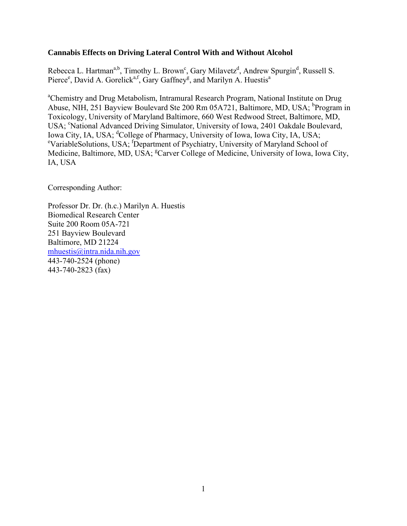## **Cannabis Effects on Driving Lateral Control With and Without Alcohol**

Rebecca L. Hartman<sup>a,b</sup>, Timothy L. Brown<sup>c</sup>, Gary Milavetz<sup>d</sup>, Andrew Spurgin<sup>d</sup>, Russell S. Pierce<sup>e</sup>, David A. Gorelick<sup>a,f</sup>, Gary Gaffney<sup>g</sup>, and Marilyn A. Huestis<sup>a</sup>

<sup>a</sup>Chemistry and Drug Metabolism, Intramural Research Program, National Institute on Drug Abuse, NIH, 251 Bayview Boulevard Ste 200 Rm 05A721, Baltimore, MD, USA; <sup>b</sup>Program in Toxicology, University of Maryland Baltimore, 660 West Redwood Street, Baltimore, MD, USA; 'National Advanced Driving Simulator, University of Iowa, 2401 Oakdale Boulevard, Iowa City, IA, USA; <sup>d</sup>College of Pharmacy, University of Iowa, Iowa City, IA, USA;<br><sup>ex</sup>ariable Solutions, USA: <sup>f</sup>Department of Psychiatry, University of Maryland Sobool. VariableSolutions, USA; <sup>f</sup> Department of Psychiatry, University of Maryland School of Medicine, Baltimore, MD, USA; <sup>g</sup>Carver College of Medicine, University of Iowa, Iowa City, IA, USA

Corresponding Author:

Professor Dr. Dr. (h.c.) Marilyn A. Huestis Biomedical Research Center Suite 200 Room 05A-721 251 Bayview Boulevard Baltimore, MD 21224 mhuestis@intra.nida.nih.gov 443-740-2524 (phone) 443-740-2823 (fax)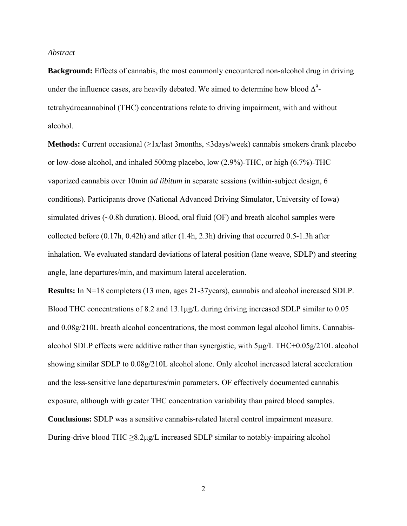## *Abstract*

**Background:** Effects of cannabis, the most commonly encountered non-alcohol drug in driving under the influence cases, are heavily debated. We aimed to determine how blood  $\Delta^9$ tetrahydrocannabinol (THC) concentrations relate to driving impairment, with and without alcohol.

**Methods:** Current occasional (≥1x/last 3months, ≤3days/week) cannabis smokers drank placebo or low-dose alcohol, and inhaled 500mg placebo, low (2.9%)-THC, or high (6.7%)-THC vaporized cannabis over 10min *ad libitum* in separate sessions (within-subject design, 6 conditions). Participants drove (National Advanced Driving Simulator, University of Iowa) simulated drives  $(\sim 0.8h$  duration). Blood, oral fluid (OF) and breath alcohol samples were collected before  $(0.17h, 0.42h)$  and after  $(1.4h, 2.3h)$  driving that occurred 0.5-1.3h after inhalation. We evaluated standard deviations of lateral position (lane weave, SDLP) and steering angle, lane departures/min, and maximum lateral acceleration.

**Results:** In N=18 completers (13 men, ages 21-37years), cannabis and alcohol increased SDLP. Blood THC concentrations of 8.2 and 13.1μg/L during driving increased SDLP similar to 0.05 and 0.08g/210L breath alcohol concentrations, the most common legal alcohol limits. Cannabisalcohol SDLP effects were additive rather than synergistic, with 5μg/L THC+0.05g/210L alcohol showing similar SDLP to 0.08g/210L alcohol alone. Only alcohol increased lateral acceleration and the less-sensitive lane departures/min parameters. OF effectively documented cannabis exposure, although with greater THC concentration variability than paired blood samples. **Conclusions:** SDLP was a sensitive cannabis-related lateral control impairment measure. During-drive blood THC  $\geq$ 8.2μg/L increased SDLP similar to notably-impairing alcohol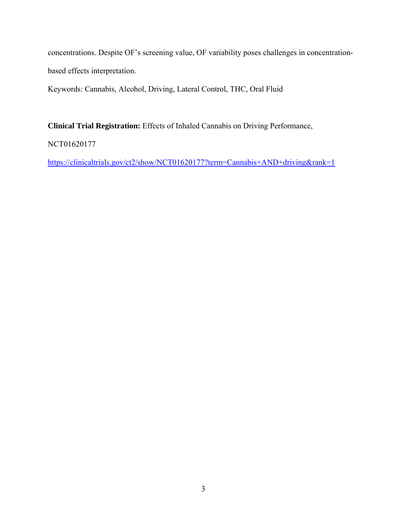concentrations. Despite OF's screening value, OF variability poses challenges in concentrationbased effects interpretation.

Keywords: Cannabis, Alcohol, Driving, Lateral Control, THC, Oral Fluid

**Clinical Trial Registration:** Effects of Inhaled Cannabis on Driving Performance,

NCT01620177

https://clinicaltrials.gov/ct2/show/NCT01620177?term=Cannabis+AND+driving&rank=1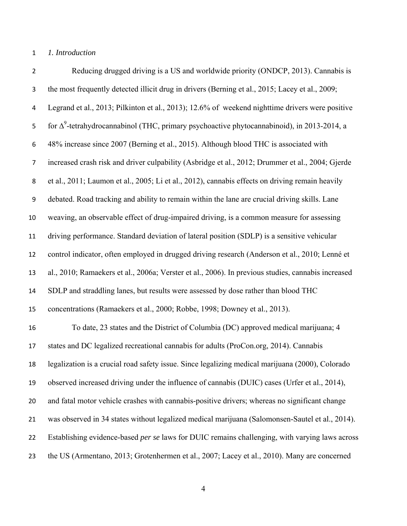## *1. Introduction*

 Reducing drugged driving is a US and worldwide priority (ONDCP, 2013). Cannabis is the most frequently detected illicit drug in drivers (Berning et al., 2015; Lacey et al., 2009; Legrand et al., 2013; Pilkinton et al., 2013); 12.6% of weekend nighttime drivers were positive for  $\Delta^9$ -tetrahydrocannabinol (THC, primary psychoactive phytocannabinoid), in 2013-2014, a 48% increase since 2007 (Berning et al., 2015). Although blood THC is associated with increased crash risk and driver culpability (Asbridge et al., 2012; Drummer et al., 2004; Gjerde et al., 2011; Laumon et al., 2005; Li et al., 2012), cannabis effects on driving remain heavily debated. Road tracking and ability to remain within the lane are crucial driving skills. Lane weaving, an observable effect of drug-impaired driving, is a common measure for assessing driving performance. Standard deviation of lateral position (SDLP) is a sensitive vehicular control indicator, often employed in drugged driving research (Anderson et al., 2010; Lenné et al., 2010; Ramaekers et al., 2006a; Verster et al., 2006). In previous studies, cannabis increased SDLP and straddling lanes, but results were assessed by dose rather than blood THC concentrations (Ramaekers et al., 2000; Robbe, 1998; Downey et al., 2013). To date, 23 states and the District of Columbia (DC) approved medical marijuana; 4 states and DC legalized recreational cannabis for adults (ProCon.org, 2014). Cannabis legalization is a crucial road safety issue. Since legalizing medical marijuana (2000), Colorado observed increased driving under the influence of cannabis (DUIC) cases (Urfer et al., 2014), and fatal motor vehicle crashes with cannabis-positive drivers; whereas no significant change was observed in 34 states without legalized medical marijuana (Salomonsen-Sautel et al., 2014). Establishing evidence-based *per se* laws for DUIC remains challenging, with varying laws across the US (Armentano, 2013; Grotenhermen et al., 2007; Lacey et al., 2010). Many are concerned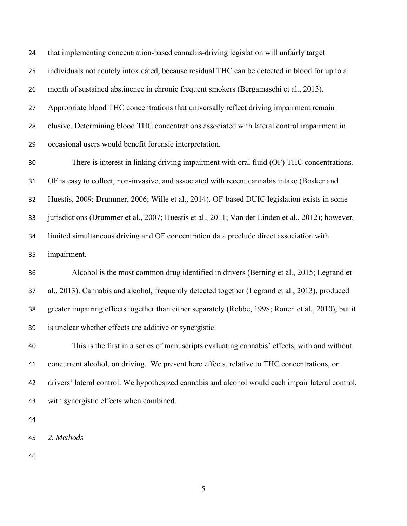that implementing concentration-based cannabis-driving legislation will unfairly target individuals not acutely intoxicated, because residual THC can be detected in blood for up to a month of sustained abstinence in chronic frequent smokers (Bergamaschi et al., 2013). Appropriate blood THC concentrations that universally reflect driving impairment remain elusive. Determining blood THC concentrations associated with lateral control impairment in occasional users would benefit forensic interpretation.

 There is interest in linking driving impairment with oral fluid (OF) THC concentrations. OF is easy to collect, non-invasive, and associated with recent cannabis intake (Bosker and Huestis, 2009; Drummer, 2006; Wille et al., 2014). OF-based DUIC legislation exists in some jurisdictions (Drummer et al., 2007; Huestis et al., 2011; Van der Linden et al., 2012); however, limited simultaneous driving and OF concentration data preclude direct association with impairment.

 Alcohol is the most common drug identified in drivers (Berning et al., 2015; Legrand et al., 2013). Cannabis and alcohol, frequently detected together (Legrand et al., 2013), produced greater impairing effects together than either separately (Robbe, 1998; Ronen et al., 2010), but it is unclear whether effects are additive or synergistic.

 This is the first in a series of manuscripts evaluating cannabis' effects, with and without concurrent alcohol, on driving. We present here effects, relative to THC concentrations, on drivers' lateral control. We hypothesized cannabis and alcohol would each impair lateral control, with synergistic effects when combined.

*2. Methods*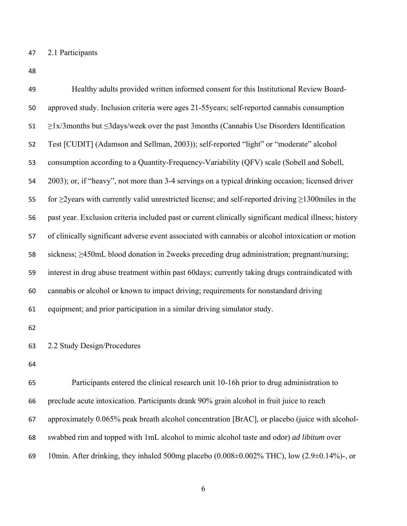2.1 Participants

| 49 | Healthy adults provided written informed consent for this Institutional Review Board-                            |
|----|------------------------------------------------------------------------------------------------------------------|
| 50 | approved study. Inclusion criteria were ages 21-55years; self-reported cannabis consumption                      |
| 51 | $\geq$ 1x/3months but $\leq$ 3days/week over the past 3months (Cannabis Use Disorders Identification             |
| 52 | Test [CUDIT] (Adamson and Sellman, 2003)); self-reported "light" or "moderate" alcohol                           |
| 53 | consumption according to a Quantity-Frequency-Variability (QFV) scale (Sobell and Sobell,                        |
| 54 | 2003); or, if "heavy", not more than 3-4 servings on a typical drinking occasion; licensed driver                |
| 55 | for $\geq$ 2 years with currently valid unrestricted license; and self-reported driving $\geq$ 1300 miles in the |
| 56 | past year. Exclusion criteria included past or current clinically significant medical illness; history           |
| 57 | of clinically significant adverse event associated with cannabis or alcohol intoxication or motion               |
| 58 | sickness; $\geq$ 450mL blood donation in 2 weeks preceding drug administration; pregnant/nursing;                |
| 59 | interest in drug abuse treatment within past 60 days; currently taking drugs contraindicated with                |
| 60 | cannabis or alcohol or known to impact driving; requirements for nonstandard driving                             |
| 61 | equipment; and prior participation in a similar driving simulator study.                                         |
| 62 |                                                                                                                  |
| 63 | 2.2 Study Design/Procedures                                                                                      |
| 64 |                                                                                                                  |
| 65 | Participants entered the clinical research unit 10-16h prior to drug administration to                           |
| 66 | preclude acute intoxication. Participants drank 90% grain alcohol in fruit juice to reach                        |
| 67 | approximately 0.065% peak breath alcohol concentration [BrAC], or placebo (juice with alcohol-                   |
| 68 | swabbed rim and topped with 1mL alcohol to mimic alcohol taste and odor) <i>ad libitum</i> over                  |
| 69 | 10min. After drinking, they inhaled 500mg placebo (0.008±0.002% THC), low (2.9±0.14%)-, or                       |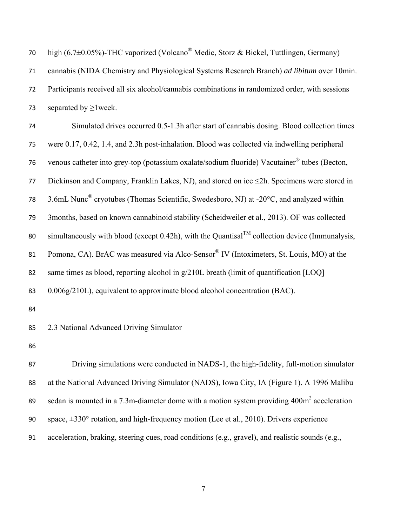| 70 | high (6.7 $\pm$ 0.05%)-THC vaporized (Volcano <sup>®</sup> Medic, Storz & Bickel, Tuttlingen, Germany)     |
|----|------------------------------------------------------------------------------------------------------------|
| 71 | cannabis (NIDA Chemistry and Physiological Systems Research Branch) ad libitum over 10min.                 |
| 72 | Participants received all six alcohol/cannabis combinations in randomized order, with sessions             |
| 73 | separated by $\geq$ 1 week.                                                                                |
| 74 | Simulated drives occurred 0.5-1.3h after start of cannabis dosing. Blood collection times                  |
| 75 | were 0.17, 0.42, 1.4, and 2.3h post-inhalation. Blood was collected via indwelling peripheral              |
| 76 | venous catheter into grey-top (potassium oxalate/sodium fluoride) Vacutainer® tubes (Becton,               |
| 77 | Dickinson and Company, Franklin Lakes, NJ), and stored on ice ≤2h. Specimens were stored in                |
| 78 | 3.6mL Nunc <sup>®</sup> cryotubes (Thomas Scientific, Swedesboro, NJ) at -20°C, and analyzed within        |
| 79 | 3months, based on known cannabinoid stability (Scheidweiler et al., 2013). OF was collected                |
| 80 | simultaneously with blood (except 0.42h), with the Quantisal <sup>TM</sup> collection device (Immunalysis, |
| 81 | Pomona, CA). BrAC was measured via Alco-Sensor® IV (Intoximeters, St. Louis, MO) at the                    |
| 82 | same times as blood, reporting alcohol in g/210L breath (limit of quantification [LOQ]                     |
| 83 | 0.006g/210L), equivalent to approximate blood alcohol concentration (BAC).                                 |
| 84 |                                                                                                            |
| 85 | 2.3 National Advanced Driving Simulator                                                                    |
| 86 |                                                                                                            |
| 87 | Driving simulations were conducted in NADS-1, the high-fidelity, full-motion simulator                     |
| 88 | at the National Advanced Driving Simulator (NADS), Iowa City, IA (Figure 1). A 1996 Malibu                 |
| 89 | sedan is mounted in a 7.3m-diameter dome with a motion system providing 400m <sup>2</sup> acceleration     |
| 90 | space, $\pm 330^\circ$ rotation, and high-frequency motion (Lee et al., 2010). Drivers experience          |
| 91 | acceleration, braking, steering cues, road conditions (e.g., gravel), and realistic sounds (e.g.,          |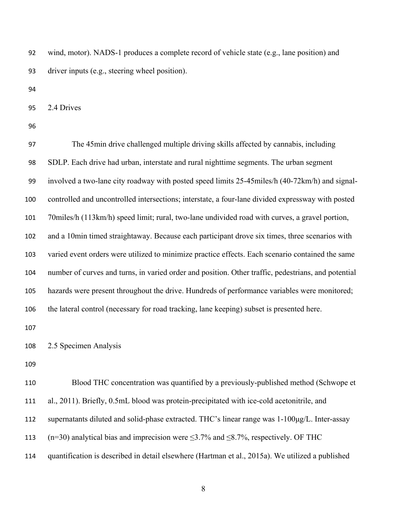wind, motor). NADS-1 produces a complete record of vehicle state (e.g., lane position) and driver inputs (e.g., steering wheel position).

2.4 Drives

 The 45min drive challenged multiple driving skills affected by cannabis, including SDLP. Each drive had urban, interstate and rural nighttime segments. The urban segment involved a two-lane city roadway with posted speed limits 25-45miles/h (40-72km/h) and signal- controlled and uncontrolled intersections; interstate, a four-lane divided expressway with posted 70miles/h (113km/h) speed limit; rural, two-lane undivided road with curves, a gravel portion, and a 10min timed straightaway. Because each participant drove six times, three scenarios with varied event orders were utilized to minimize practice effects. Each scenario contained the same number of curves and turns, in varied order and position. Other traffic, pedestrians, and potential hazards were present throughout the drive. Hundreds of performance variables were monitored; the lateral control (necessary for road tracking, lane keeping) subset is presented here.

2.5 Specimen Analysis

 Blood THC concentration was quantified by a previously-published method (Schwope et al., 2011). Briefly, 0.5mL blood was protein-precipitated with ice-cold acetonitrile, and supernatants diluted and solid-phase extracted. THC's linear range was 1-100μg/L. Inter-assay 113 (n=30) analytical bias and imprecision were  $\leq$ 3.7% and  $\leq$ 8.7%, respectively. OF THC

quantification is described in detail elsewhere (Hartman et al., 2015a). We utilized a published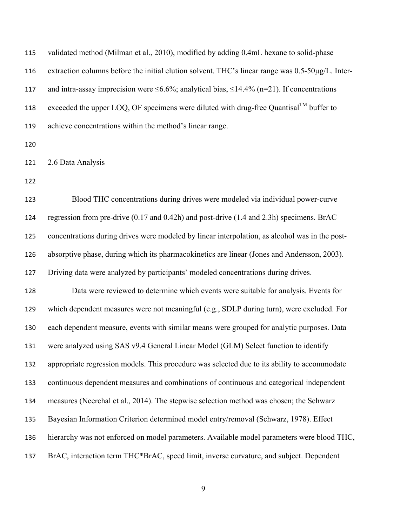| 115 | validated method (Milman et al., 2010), modified by adding 0.4mL hexane to solid-phase                   |
|-----|----------------------------------------------------------------------------------------------------------|
| 116 | extraction columns before the initial elution solvent. THC's linear range was 0.5-50µg/L. Inter-         |
| 117 | and intra-assay imprecision were $\leq 6.6\%$ ; analytical bias, $\leq 14.4\%$ (n=21). If concentrations |
| 118 | exceeded the upper LOQ, OF specimens were diluted with drug-free Quantisal <sup>TM</sup> buffer to       |
| 119 | achieve concentrations within the method's linear range.                                                 |
| 120 |                                                                                                          |
| 121 | 2.6 Data Analysis                                                                                        |
| 122 |                                                                                                          |
| 123 | Blood THC concentrations during drives were modeled via individual power-curve                           |
| 124 | regression from pre-drive (0.17 and 0.42h) and post-drive (1.4 and 2.3h) specimens. BrAC                 |
| 125 | concentrations during drives were modeled by linear interpolation, as alcohol was in the post-           |
| 126 | absorptive phase, during which its pharmacokinetics are linear (Jones and Andersson, 2003).              |
| 127 | Driving data were analyzed by participants' modeled concentrations during drives.                        |
| 128 | Data were reviewed to determine which events were suitable for analysis. Events for                      |
| 129 | which dependent measures were not meaningful (e.g., SDLP during turn), were excluded. For                |
| 130 | each dependent measure, events with similar means were grouped for analytic purposes. Data               |
| 131 | were analyzed using SAS v9.4 General Linear Model (GLM) Select function to identify                      |
| 132 | appropriate regression models. This procedure was selected due to its ability to accommodate             |
| 133 | continuous dependent measures and combinations of continuous and categorical independent                 |
| 134 | measures (Neerchal et al., 2014). The stepwise selection method was chosen; the Schwarz                  |
| 135 | Bayesian Information Criterion determined model entry/removal (Schwarz, 1978). Effect                    |
| 136 | hierarchy was not enforced on model parameters. Available model parameters were blood THC,               |
| 137 | BrAC, interaction term THC*BrAC, speed limit, inverse curvature, and subject. Dependent                  |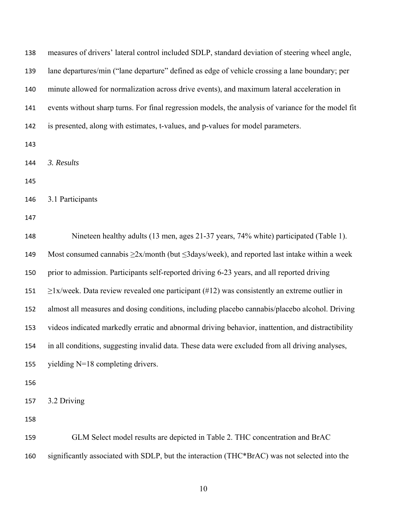| 138 | measures of drivers' lateral control included SDLP, standard deviation of steering wheel angle,          |
|-----|----------------------------------------------------------------------------------------------------------|
| 139 | lane departures/min ("lane departure" defined as edge of vehicle crossing a lane boundary; per           |
| 140 | minute allowed for normalization across drive events), and maximum lateral acceleration in               |
| 141 | events without sharp turns. For final regression models, the analysis of variance for the model fit      |
| 142 | is presented, along with estimates, t-values, and p-values for model parameters.                         |
| 143 |                                                                                                          |
| 144 | 3. Results                                                                                               |
| 145 |                                                                                                          |
| 146 | 3.1 Participants                                                                                         |
| 147 |                                                                                                          |
| 148 | Nineteen healthy adults (13 men, ages 21-37 years, 74% white) participated (Table 1).                    |
| 149 | Most consumed cannabis $\geq 2x/m$ onth (but $\leq 3$ days/week), and reported last intake within a week |
| 150 | prior to admission. Participants self-reported driving 6-23 years, and all reported driving              |
| 151 | $\geq$ 1x/week. Data review revealed one participant (#12) was consistently an extreme outlier in        |
| 152 | almost all measures and dosing conditions, including placebo cannabis/placebo alcohol. Driving           |
| 153 | videos indicated markedly erratic and abnormal driving behavior, inattention, and distractibility        |
| 154 | in all conditions, suggesting invalid data. These data were excluded from all driving analyses,          |
| 155 | yielding N=18 completing drivers.                                                                        |
| 156 |                                                                                                          |
| 157 | 3.2 Driving                                                                                              |
| 158 |                                                                                                          |
| 159 | GLM Select model results are depicted in Table 2. THC concentration and BrAC                             |
| 160 | significantly associated with SDLP, but the interaction (THC*BrAC) was not selected into the             |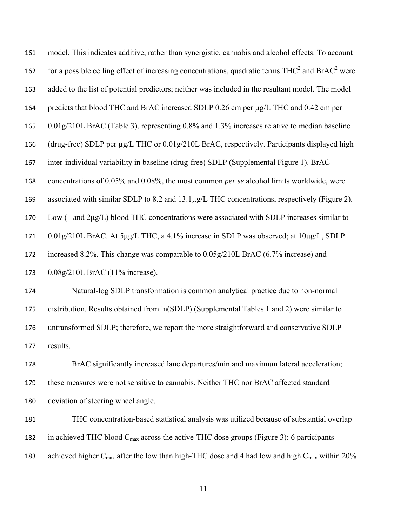model. This indicates additive, rather than synergistic, cannabis and alcohol effects. To account 162 for a possible ceiling effect of increasing concentrations, quadratic terms  $THC<sup>2</sup>$  and  $BrAC<sup>2</sup>$  were added to the list of potential predictors; neither was included in the resultant model. The model predicts that blood THC and BrAC increased SDLP 0.26 cm per µg/L THC and 0.42 cm per 0.01g/210L BrAC (Table 3), representing 0.8% and 1.3% increases relative to median baseline (drug-free) SDLP per µg/L THC or 0.01g/210L BrAC, respectively. Participants displayed high inter-individual variability in baseline (drug-free) SDLP (Supplemental Figure 1). BrAC concentrations of 0.05% and 0.08%, the most common *per se* alcohol limits worldwide, were associated with similar SDLP to 8.2 and 13.1µg/L THC concentrations, respectively (Figure 2). Low (1 and 2μg/L) blood THC concentrations were associated with SDLP increases similar to 0.01g/210L BrAC. At 5μg/L THC, a 4.1% increase in SDLP was observed; at 10μg/L, SDLP increased 8.2%. This change was comparable to 0.05g/210L BrAC (6.7% increase) and 0.08g/210L BrAC (11% increase). Natural-log SDLP transformation is common analytical practice due to non-normal

 distribution. Results obtained from ln(SDLP) (Supplemental Tables 1 and 2) were similar to untransformed SDLP; therefore, we report the more straightforward and conservative SDLP results.

 BrAC significantly increased lane departures/min and maximum lateral acceleration; these measures were not sensitive to cannabis. Neither THC nor BrAC affected standard deviation of steering wheel angle.

 THC concentration-based statistical analysis was utilized because of substantial overlap 182 in achieved THC blood  $C_{\text{max}}$  across the active-THC dose groups (Figure 3): 6 participants 183 achieved higher  $C_{\text{max}}$  after the low than high-THC dose and 4 had low and high  $C_{\text{max}}$  within 20%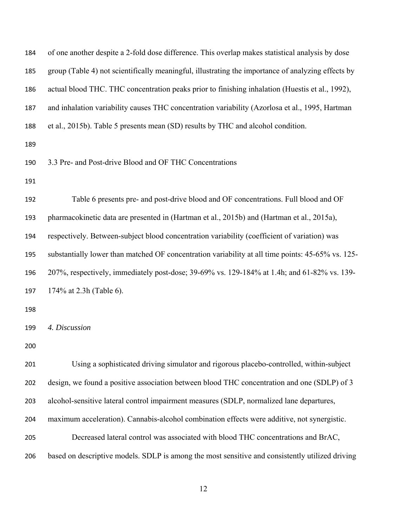| 184 | of one another despite a 2-fold dose difference. This overlap makes statistical analysis by dose   |
|-----|----------------------------------------------------------------------------------------------------|
| 185 | group (Table 4) not scientifically meaningful, illustrating the importance of analyzing effects by |
| 186 | actual blood THC. THC concentration peaks prior to finishing inhalation (Huestis et al., 1992),    |
| 187 | and inhalation variability causes THC concentration variability (Azorlosa et al., 1995, Hartman    |
| 188 | et al., 2015b). Table 5 presents mean (SD) results by THC and alcohol condition.                   |
| 189 |                                                                                                    |
| 190 | 3.3 Pre- and Post-drive Blood and OF THC Concentrations                                            |
| 191 |                                                                                                    |
| 192 | Table 6 presents pre- and post-drive blood and OF concentrations. Full blood and OF                |
| 193 | pharmacokinetic data are presented in (Hartman et al., 2015b) and (Hartman et al., 2015a),         |
| 194 | respectively. Between-subject blood concentration variability (coefficient of variation) was       |
| 195 | substantially lower than matched OF concentration variability at all time points: 45-65% vs. 125-  |
| 196 | 207%, respectively, immediately post-dose; 39-69% vs. 129-184% at 1.4h; and 61-82% vs. 139-        |
| 197 | 174% at 2.3h (Table 6).                                                                            |
| 198 |                                                                                                    |
| 199 | 4. Discussion                                                                                      |
| 200 |                                                                                                    |
| 201 | Using a sophisticated driving simulator and rigorous placebo-controlled, within-subject            |
| 202 | design, we found a positive association between blood THC concentration and one (SDLP) of 3        |
| 203 | alcohol-sensitive lateral control impairment measures (SDLP, normalized lane departures,           |
| 204 | maximum acceleration). Cannabis-alcohol combination effects were additive, not synergistic.        |
| 205 | Decreased lateral control was associated with blood THC concentrations and BrAC,                   |
| 206 | based on descriptive models. SDLP is among the most sensitive and consistently utilized driving    |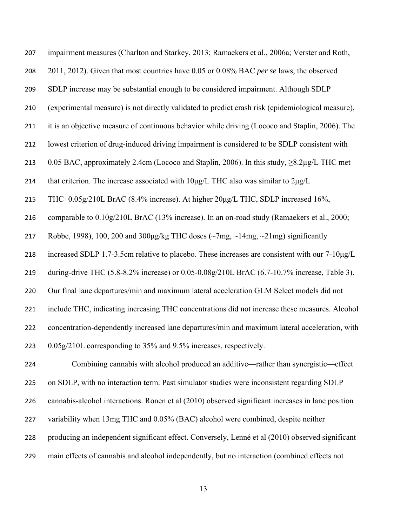| 207 | impairment measures (Charlton and Starkey, 2013; Ramaekers et al., 2006a; Verster and Roth,           |
|-----|-------------------------------------------------------------------------------------------------------|
| 208 | 2011, 2012). Given that most countries have 0.05 or 0.08% BAC per se laws, the observed               |
| 209 | SDLP increase may be substantial enough to be considered impairment. Although SDLP                    |
| 210 | (experimental measure) is not directly validated to predict crash risk (epidemiological measure),     |
| 211 | it is an objective measure of continuous behavior while driving (Lococo and Staplin, 2006). The       |
| 212 | lowest criterion of drug-induced driving impairment is considered to be SDLP consistent with          |
| 213 | 0.05 BAC, approximately 2.4cm (Lococo and Staplin, 2006). In this study, $\geq$ 8.2 $\mu$ g/L THC met |
| 214 | that criterion. The increase associated with $10\mu g/L$ THC also was similar to $2\mu g/L$           |
| 215 | THC+0.05g/210L BrAC (8.4% increase). At higher 20µg/L THC, SDLP increased 16%,                        |
| 216 | comparable to 0.10g/210L BrAC (13% increase). In an on-road study (Ramaekers et al., 2000;            |
| 217 | Robbe, 1998), 100, 200 and 300µg/kg THC doses ( $\sim$ 7mg, $\sim$ 14mg, $\sim$ 21mg) significantly   |
| 218 | increased SDLP 1.7-3.5cm relative to placebo. These increases are consistent with our 7-10µg/L        |
| 219 | during-drive THC (5.8-8.2% increase) or 0.05-0.08g/210L BrAC (6.7-10.7% increase, Table 3).           |
| 220 | Our final lane departures/min and maximum lateral acceleration GLM Select models did not              |
| 221 | include THC, indicating increasing THC concentrations did not increase these measures. Alcohol        |
| 222 | concentration-dependently increased lane departures/min and maximum lateral acceleration, with        |
| 223 | 0.05g/210L corresponding to 35% and 9.5% increases, respectively.                                     |
| 224 | Combining cannabis with alcohol produced an additive—rather than synergistic—effect                   |
| 225 | on SDLP, with no interaction term. Past simulator studies were inconsistent regarding SDLP            |
| 226 | cannabis-alcohol interactions. Ronen et al (2010) observed significant increases in lane position     |
| 227 | variability when 13mg THC and 0.05% (BAC) alcohol were combined, despite neither                      |
| 228 | producing an independent significant effect. Conversely, Lenné et al (2010) observed significant      |

main effects of cannabis and alcohol independently, but no interaction (combined effects not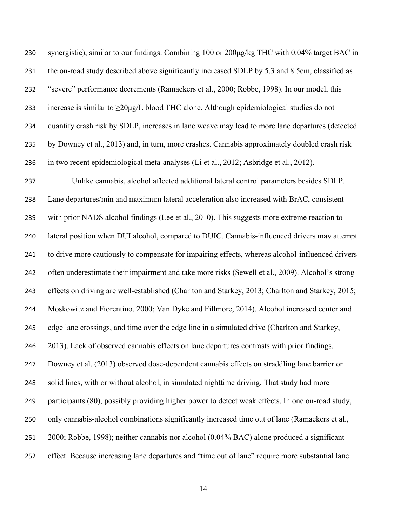synergistic), similar to our findings. Combining 100 or 200μg/kg THC with 0.04% target BAC in the on-road study described above significantly increased SDLP by 5.3 and 8.5cm, classified as "severe" performance decrements (Ramaekers et al., 2000; Robbe, 1998). In our model, this 233 increase is similar to  $\geq 20\mu$ g/L blood THC alone. Although epidemiological studies do not quantify crash risk by SDLP, increases in lane weave may lead to more lane departures (detected by Downey et al., 2013) and, in turn, more crashes. Cannabis approximately doubled crash risk in two recent epidemiological meta-analyses (Li et al., 2012; Asbridge et al., 2012). Unlike cannabis, alcohol affected additional lateral control parameters besides SDLP. Lane departures/min and maximum lateral acceleration also increased with BrAC, consistent 239 with prior NADS alcohol findings (Lee et al., 2010). This suggests more extreme reaction to lateral position when DUI alcohol, compared to DUIC. Cannabis-influenced drivers may attempt to drive more cautiously to compensate for impairing effects, whereas alcohol-influenced drivers often underestimate their impairment and take more risks (Sewell et al., 2009). Alcohol's strong effects on driving are well-established (Charlton and Starkey, 2013; Charlton and Starkey, 2015; Moskowitz and Fiorentino, 2000; Van Dyke and Fillmore, 2014). Alcohol increased center and edge lane crossings, and time over the edge line in a simulated drive (Charlton and Starkey, 2013). Lack of observed cannabis effects on lane departures contrasts with prior findings. Downey et al. (2013) observed dose-dependent cannabis effects on straddling lane barrier or solid lines, with or without alcohol, in simulated nighttime driving. That study had more participants (80), possibly providing higher power to detect weak effects. In one on-road study, only cannabis-alcohol combinations significantly increased time out of lane (Ramaekers et al., 2000; Robbe, 1998); neither cannabis nor alcohol (0.04% BAC) alone produced a significant effect. Because increasing lane departures and "time out of lane" require more substantial lane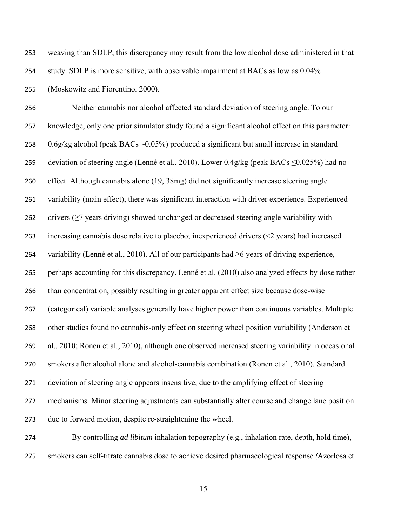weaving than SDLP, this discrepancy may result from the low alcohol dose administered in that

study. SDLP is more sensitive, with observable impairment at BACs as low as 0.04%

(Moskowitz and Fiorentino, 2000).

 Neither cannabis nor alcohol affected standard deviation of steering angle. To our knowledge, only one prior simulator study found a significant alcohol effect on this parameter: 0.6g/kg alcohol (peak BACs ~0.05%) produced a significant but small increase in standard 259 deviation of steering angle (Lenné et al., 2010). Lower  $0.4g/kg$  (peak BACs  $\leq 0.025\%$ ) had no effect. Although cannabis alone (19, 38mg) did not significantly increase steering angle 261 variability (main effect), there was significant interaction with driver experience. Experienced 262 drivers ( $\geq$ 7 years driving) showed unchanged or decreased steering angle variability with increasing cannabis dose relative to placebo; inexperienced drivers (<2 years) had increased 264 variability (Lenné et al., 2010). All of our participants had  $\geq$ 6 years of driving experience, perhaps accounting for this discrepancy. Lenné et al. (2010) also analyzed effects by dose rather than concentration, possibly resulting in greater apparent effect size because dose-wise (categorical) variable analyses generally have higher power than continuous variables. Multiple other studies found no cannabis-only effect on steering wheel position variability (Anderson et al., 2010; Ronen et al., 2010), although one observed increased steering variability in occasional smokers after alcohol alone and alcohol-cannabis combination (Ronen et al., 2010). Standard deviation of steering angle appears insensitive, due to the amplifying effect of steering mechanisms. Minor steering adjustments can substantially alter course and change lane position due to forward motion, despite re-straightening the wheel.

 By controlling *ad libitum* inhalation topography (e.g., inhalation rate, depth, hold time), smokers can self-titrate cannabis dose to achieve desired pharmacological response *(*Azorlosa et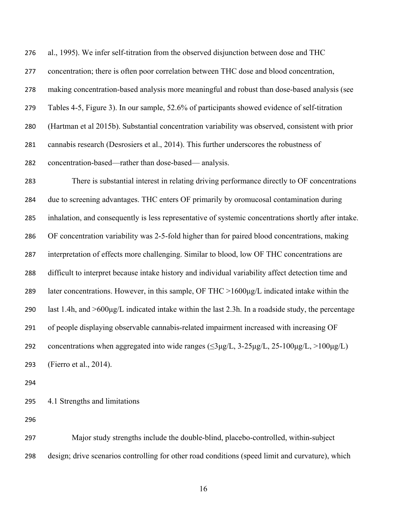al., 1995). We infer self-titration from the observed disjunction between dose and THC concentration; there is often poor correlation between THC dose and blood concentration, making concentration-based analysis more meaningful and robust than dose-based analysis (see Tables 4-5, Figure 3). In our sample, 52.6% of participants showed evidence of self-titration (Hartman et al 2015b). Substantial concentration variability was observed, consistent with prior cannabis research (Desrosiers et al., 2014). This further underscores the robustness of concentration-based—rather than dose-based— analysis. There is substantial interest in relating driving performance directly to OF concentrations due to screening advantages. THC enters OF primarily by oromucosal contamination during inhalation, and consequently is less representative of systemic concentrations shortly after intake. OF concentration variability was 2-5-fold higher than for paired blood concentrations, making interpretation of effects more challenging. Similar to blood, low OF THC concentrations are difficult to interpret because intake history and individual variability affect detection time and 289 later concentrations. However, in this sample, OF THC  $>1600\mu g/L$  indicated intake within the last 1.4h, and >600μg/L indicated intake within the last 2.3h. In a roadside study, the percentage of people displaying observable cannabis-related impairment increased with increasing OF 292 concentrations when aggregated into wide ranges ( $\leq$ 3µg/L, 3-25µg/L, 25-100µg/L, >100µg/L) (Fierro et al., 2014).

4.1 Strengths and limitations

 Major study strengths include the double-blind, placebo-controlled, within-subject design; drive scenarios controlling for other road conditions (speed limit and curvature), which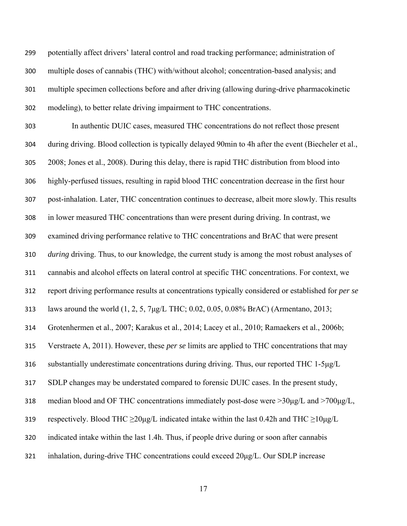potentially affect drivers' lateral control and road tracking performance; administration of multiple doses of cannabis (THC) with/without alcohol; concentration-based analysis; and multiple specimen collections before and after driving (allowing during-drive pharmacokinetic modeling), to better relate driving impairment to THC concentrations.

 In authentic DUIC cases, measured THC concentrations do not reflect those present during driving. Blood collection is typically delayed 90min to 4h after the event (Biecheler et al., 2008; Jones et al., 2008). During this delay, there is rapid THC distribution from blood into highly-perfused tissues, resulting in rapid blood THC concentration decrease in the first hour post-inhalation. Later, THC concentration continues to decrease, albeit more slowly. This results in lower measured THC concentrations than were present during driving. In contrast, we examined driving performance relative to THC concentrations and BrAC that were present *during* driving. Thus, to our knowledge, the current study is among the most robust analyses of cannabis and alcohol effects on lateral control at specific THC concentrations. For context, we report driving performance results at concentrations typically considered or established for *per se* laws around the world (1, 2, 5, 7μg/L THC; 0.02, 0.05, 0.08% BrAC) (Armentano, 2013; Grotenhermen et al., 2007; Karakus et al., 2014; Lacey et al., 2010; Ramaekers et al., 2006b; Verstraete A, 2011). However, these *per se* limits are applied to THC concentrations that may substantially underestimate concentrations during driving. Thus, our reported THC 1-5μg/L SDLP changes may be understated compared to forensic DUIC cases. In the present study, 318 median blood and OF THC concentrations immediately post-dose were  $>30\mu g/L$  and  $>700\mu g/L$ , 319 respectively. Blood THC  $\geq 20\mu\text{g/L}$  indicated intake within the last 0.42h and THC  $\geq 10\mu\text{g/L}$  indicated intake within the last 1.4h. Thus, if people drive during or soon after cannabis inhalation, during-drive THC concentrations could exceed 20μg/L. Our SDLP increase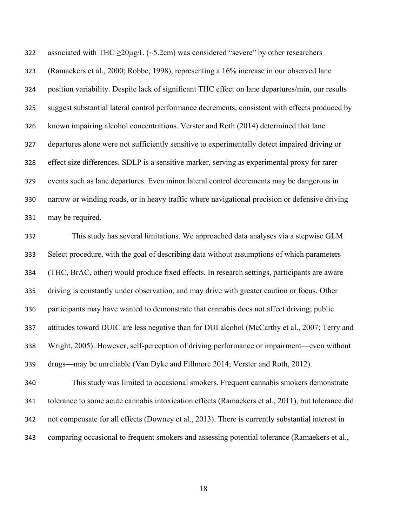322 associated with THC  $\geq 20\mu\text{g/L}$  (~5.2cm) was considered "severe" by other researchers (Ramaekers et al., 2000; Robbe, 1998), representing a 16% increase in our observed lane position variability. Despite lack of significant THC effect on lane departures/min, our results suggest substantial lateral control performance decrements, consistent with effects produced by known impairing alcohol concentrations. Verster and Roth (2014) determined that lane departures alone were not sufficiently sensitive to experimentally detect impaired driving or effect size differences. SDLP is a sensitive marker, serving as experimental proxy for rarer events such as lane departures. Even minor lateral control decrements may be dangerous in narrow or winding roads, or in heavy traffic where navigational precision or defensive driving may be required.

 This study has several limitations. We approached data analyses via a stepwise GLM Select procedure, with the goal of describing data without assumptions of which parameters (THC, BrAC, other) would produce fixed effects. In research settings, participants are aware driving is constantly under observation, and may drive with greater caution or focus. Other participants may have wanted to demonstrate that cannabis does not affect driving; public attitudes toward DUIC are less negative than for DUI alcohol (McCarthy et al., 2007; Terry and Wright, 2005). However, self-perception of driving performance or impairment—even without drugs—may be unreliable (Van Dyke and Fillmore 2014; Verster and Roth, 2012).

 This study was limited to occasional smokers. Frequent cannabis smokers demonstrate tolerance to some acute cannabis intoxication effects (Ramaekers et al., 2011), but tolerance did not compensate for all effects (Downey et al., 2013). There is currently substantial interest in comparing occasional to frequent smokers and assessing potential tolerance (Ramaekers et al.,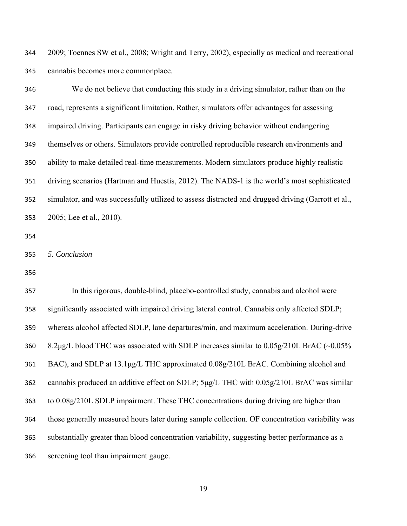2009; Toennes SW et al., 2008; Wright and Terry, 2002), especially as medical and recreational cannabis becomes more commonplace.

 We do not believe that conducting this study in a driving simulator, rather than on the road, represents a significant limitation. Rather, simulators offer advantages for assessing impaired driving. Participants can engage in risky driving behavior without endangering themselves or others. Simulators provide controlled reproducible research environments and ability to make detailed real-time measurements. Modern simulators produce highly realistic driving scenarios (Hartman and Huestis, 2012). The NADS-1 is the world's most sophisticated simulator, and was successfully utilized to assess distracted and drugged driving (Garrott et al., 2005; Lee et al., 2010).

```
355 5. Conclusion
```
 In this rigorous, double-blind, placebo-controlled study, cannabis and alcohol were significantly associated with impaired driving lateral control. Cannabis only affected SDLP; whereas alcohol affected SDLP, lane departures/min, and maximum acceleration. During-drive 8.2μg/L blood THC was associated with SDLP increases similar to 0.05g/210L BrAC (~0.05% BAC), and SDLP at 13.1μg/L THC approximated 0.08g/210L BrAC. Combining alcohol and 362 cannabis produced an additive effect on SDLP; 5μg/L THC with 0.05g/210L BrAC was similar to 0.08g/210L SDLP impairment. These THC concentrations during driving are higher than those generally measured hours later during sample collection. OF concentration variability was substantially greater than blood concentration variability, suggesting better performance as a screening tool than impairment gauge.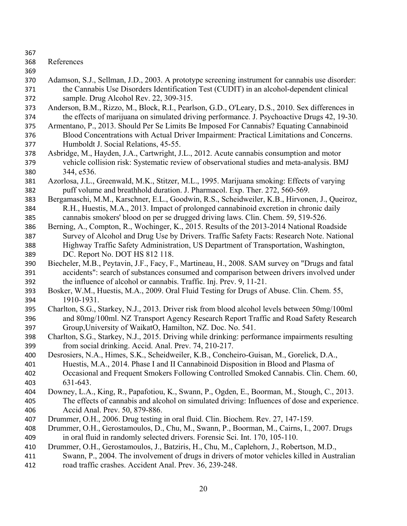- 
- References
- 
- Adamson, S.J., Sellman, J.D., 2003. A prototype screening instrument for cannabis use disorder: the Cannabis Use Disorders Identification Test (CUDIT) in an alcohol-dependent clinical sample. Drug Alcohol Rev. 22, 309-315.
- Anderson, B.M., Rizzo, M., Block, R.I., Pearlson, G.D., O'Leary, D.S., 2010. Sex differences in the effects of marijuana on simulated driving performance. J. Psychoactive Drugs 42, 19-30.
- Armentano, P., 2013. Should Per Se Limits Be Imposed For Cannabis? Equating Cannabinoid Blood Concentrations with Actual Driver Impairment: Practical Limitations and Concerns. Humboldt J. Social Relations, 45-55.
- Asbridge, M., Hayden, J.A., Cartwright, J.L., 2012. Acute cannabis consumption and motor vehicle collision risk: Systematic review of observational studies and meta-analysis. BMJ 344, e536.
- Azorlosa, J.L., Greenwald, M.K., Stitzer, M.L., 1995. Marijuana smoking: Effects of varying puff volume and breathhold duration. J. Pharmacol. Exp. Ther. 272, 560-569.
- Bergamaschi, M.M., Karschner, E.L., Goodwin, R.S., Scheidweiler, K.B., Hirvonen, J., Queiroz, R.H., Huestis, M.A., 2013. Impact of prolonged cannabinoid excretion in chronic daily
- cannabis smokers' blood on per se drugged driving laws. Clin. Chem. 59, 519-526.
- Berning, A., Compton, R., Wochinger, K., 2015. Results of the 2013-2014 National Roadside Survey of Alcohol and Drug Use by Drivers. Traffic Safety Facts: Research Note. National Highway Traffic Safety Administration, US Department of Transportation, Washington, DC. Report No. DOT HS 812 118.
- Biecheler, M.B., Peytavin, J.F., Facy, F., Martineau, H., 2008. SAM survey on "Drugs and fatal accidents": search of substances consumed and comparison between drivers involved under the influence of alcohol or cannabis. Traffic. Inj. Prev. 9, 11-21.
- Bosker, W.M., Huestis, M.A., 2009. Oral Fluid Testing for Drugs of Abuse. Clin. Chem. 55, 1910-1931.
- Charlton, S.G., Starkey, N.J., 2013. Driver risk from blood alcohol levels between 50mg/100ml and 80mg/100ml. NZ Transport Agency Research Report Traffic and Road Safety Research Group,University of WaikatO, Hamilton, NZ. Doc. No. 541.
- Charlton, S.G., Starkey, N.J., 2015. Driving while drinking: performance impairments resulting from social drinking. Accid. Anal. Prev. 74, 210-217.
- Desrosiers, N.A., Himes, S.K., Scheidweiler, K.B., Concheiro-Guisan, M., Gorelick, D.A., Huestis, M.A., 2014. Phase I and II Cannabinoid Disposition in Blood and Plasma of
- Occasional and Frequent Smokers Following Controlled Smoked Cannabis. Clin. Chem. 60, 631-643.
- Downey, L.A., King, R., Papafotiou, K., Swann, P., Ogden, E., Boorman, M., Stough, C., 2013. The effects of cannabis and alcohol on simulated driving: Influences of dose and experience. Accid Anal. Prev. 50, 879-886.
- Drummer, O.H., 2006. Drug testing in oral fluid. Clin. Biochem. Rev. 27, 147-159.
- Drummer, O.H., Gerostamoulos, D., Chu, M., Swann, P., Boorman, M., Cairns, I., 2007. Drugs in oral fluid in randomly selected drivers. Forensic Sci. Int. 170, 105-110.
- Drummer, O.H., Gerostamoulos, J., Batziris, H., Chu, M., Caplehorn, J., Robertson, M.D.,
- Swann, P., 2004. The involvement of drugs in drivers of motor vehicles killed in Australian
- road traffic crashes. Accident Anal. Prev. 36, 239-248.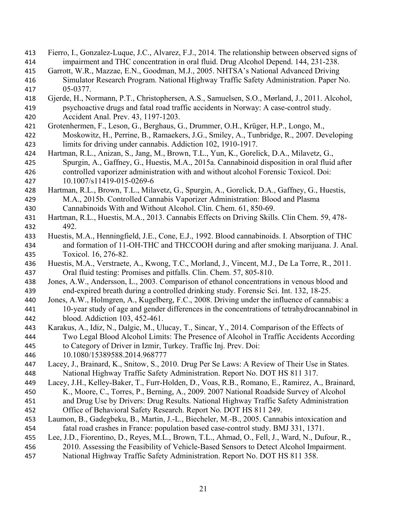- Fierro, I., Gonzalez-Luque, J.C., Alvarez, F.J., 2014. The relationship between observed signs of impairment and THC concentration in oral fluid. Drug Alcohol Depend. 144, 231-238.
- Garrott, W.R., Mazzae, E.N., Goodman, M.J., 2005. NHTSA's National Advanced Driving Simulator Research Program. National Highway Traffic Safety Administration. Paper No. 05-0377.
- Gjerde, H., Normann, P.T., Christophersen, A.S., Samuelsen, S.O., Mørland, J., 2011. Alcohol, psychoactive drugs and fatal road traffic accidents in Norway: A case-control study.
- Accident Anal. Prev. 43, 1197-1203.
- Grotenhermen, F., Leson, G., Berghaus, G., Drummer, O.H., Krüger, H.P., Longo, M., Moskowitz, H., Perrine, B., Ramaekers, J.G., Smiley, A., Tunbridge, R., 2007. Developing limits for driving under cannabis. Addiction 102, 1910-1917.
- Hartman, R.L., Anizan, S., Jang, M., Brown, T.L., Yun, K., Gorelick, D.A., Milavetz, G., Spurgin, A., Gaffney, G., Huestis, M.A., 2015a. Cannabinoid disposition in oral fluid after controlled vaporizer administration with and without alcohol Forensic Toxicol. Doi: 10.1007/s11419-015-0269-6
- Hartman, R.L., Brown, T.L., Milavetz, G., Spurgin, A., Gorelick, D.A., Gaffney, G., Huestis, M.A., 2015b. Controlled Cannabis Vaporizer Administration: Blood and Plasma Cannabinoids With and Without Alcohol. Clin. Chem. 61, 850-69.
- Hartman, R.L., Huestis, M.A., 2013. Cannabis Effects on Driving Skills. Clin Chem. 59, 478- 492.
- Huestis, M.A., Henningfield, J.E., Cone, E.J., 1992. Blood cannabinoids. I. Absorption of THC and formation of 11-OH-THC and THCCOOH during and after smoking marijuana. J. Anal. Toxicol. 16, 276-82.
- Huestis, M.A., Verstraete, A., Kwong, T.C., Morland, J., Vincent, M.J., De La Torre, R., 2011. Oral fluid testing: Promises and pitfalls. Clin. Chem. 57, 805-810.
- Jones, A.W., Andersson, L., 2003. Comparison of ethanol concentrations in venous blood and end-expired breath during a controlled drinking study. Forensic Sci. Int. 132, 18-25.
- Jones, A.W., Holmgren, A., Kugelberg, F.C., 2008. Driving under the influence of cannabis: a 10-year study of age and gender differences in the concentrations of tetrahydrocannabinol in blood. Addiction 103, 452-461.
- Karakus, A., Idiz, N., Dalgic, M., Ulucay, T., Sincar, Y., 2014. Comparison of the Effects of Two Legal Blood Alcohol Limits: The Presence of Alcohol in Traffic Accidents According to Category of Driver in Izmir, Turkey. Traffic Inj. Prev. Doi:
- 10.1080/15389588.2014.968777
- Lacey, J., Brainard, K., Snitow, S., 2010. Drug Per Se Laws: A Review of Their Use in States. National Highway Traffic Safety Administration. Report No. DOT HS 811 317.
- Lacey, J.H., Kelley-Baker, T., Furr-Holden, D., Voas, R.B., Romano, E., Ramirez, A., Brainard,
- K., Moore, C., Torres, P., Berning, A., 2009. 2007 National Roadside Survey of Alcohol and Drug Use by Drivers: Drug Results. National Highway Traffic Safety Administration
- Office of Behavioral Safety Research. Report No. DOT HS 811 249.
- Laumon, B., Gadegbeku, B., Martin, J.-L., Biecheler, M.-B., 2005. Cannabis intoxication and fatal road crashes in France: population based case-control study. BMJ 331, 1371.
- Lee, J.D., Fiorentino, D., Reyes, M.L., Brown, T.L., Ahmad, O., Fell, J., Ward, N., Dufour, R.,
- 2010. Assessing the Feasibility of Vehicle-Based Sensors to Detect Alcohol Impairment.
- National Highway Traffic Safety Administration. Report No. DOT HS 811 358.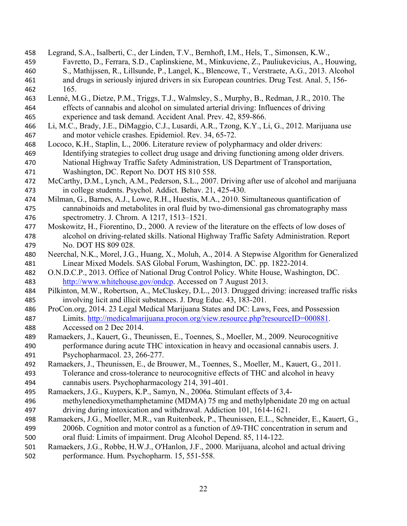- Legrand, S.A., Isalberti, C., der Linden, T.V., Bernhoft, I.M., Hels, T., Simonsen, K.W., Favretto, D., Ferrara, S.D., Caplinskiene, M., Minkuviene, Z., Pauliukevicius, A., Houwing, S., Mathijssen, R., Lillsunde, P., Langel, K., Blencowe, T., Verstraete, A.G., 2013. Alcohol and drugs in seriously injured drivers in six European countries. Drug Test. Anal. 5, 156- 165.
- Lenné, M.G., Dietze, P.M., Triggs, T.J., Walmsley, S., Murphy, B., Redman, J.R., 2010. The effects of cannabis and alcohol on simulated arterial driving: Influences of driving experience and task demand. Accident Anal. Prev. 42, 859-866.
- Li, M.C., Brady, J.E., DiMaggio, C.J., Lusardi, A.R., Tzong, K.Y., Li, G., 2012. Marijuana use and motor vehicle crashes. Epidemiol. Rev. 34, 65-72.
- Lococo, K.H., Staplin, L., 2006. Literature review of polypharmacy and older drivers: Identifying strategies to collect drug usage and driving functioning among older drivers. National Highway Traffic Safety Administration, US Department of Transportation,
- Washington, DC. Report No. DOT HS 810 558.
- McCarthy, D.M., Lynch, A.M., Pederson, S.L., 2007. Driving after use of alcohol and marijuana in college students. Psychol. Addict. Behav. 21, 425-430.
- Milman, G., Barnes, A.J., Lowe, R.H., Huestis, M.A., 2010. Simultaneous quantification of cannabinoids and metabolites in oral fluid by two-dimensional gas chromatography mass spectrometry. J. Chrom. A 1217, 1513–1521.
- Moskowitz, H., Fiorentino, D., 2000. A review of the literature on the effects of low doses of alcohol on driving-related skills. National Highway Traffic Safety Administration. Report No. DOT HS 809 028.
- Neerchal, N.K., Morel, J.G., Huang, X., Moluh, A., 2014. A Stepwise Algorithm for Generalized Linear Mixed Models. SAS Global Forum, Washington, DC. pp. 1822-2014.
- O.N.D.C.P., 2013. Office of National Drug Control Policy. White House, Washington, DC. http://www.whitehouse.gov/ondcp. Accessed on 7 August 2013.
- Pilkinton, M.W., Robertson, A., McCluskey, D.L., 2013. Drugged driving: increased traffic risks involving licit and illicit substances. J. Drug Educ. 43, 183-201.
- ProCon.org, 2014. 23 Legal Medical Marijuana States and DC: Laws, Fees, and Possession Limits. http://medicalmarijuana.procon.org/view.resource.php?resourceID=000881. Accessed on 2 Dec 2014.
- Ramaekers, J., Kauert, G., Theunissen, E., Toennes, S., Moeller, M., 2009. Neurocognitive performance during acute THC intoxication in heavy and occasional cannabis users. J. Psychopharmacol. 23, 266-277.
- Ramaekers, J., Theunissen, E., de Brouwer, M., Toennes, S., Moeller, M., Kauert, G., 2011. Tolerance and cross-tolerance to neurocognitive effects of THC and alcohol in heavy cannabis users. Psychopharmacology 214, 391-401.
- Ramaekers, J.G., Kuypers, K.P., Samyn, N., 2006a. Stimulant effects of 3,4-
- methylenedioxymethamphetamine (MDMA) 75 mg and methylphenidate 20 mg on actual driving during intoxication and withdrawal. Addiction 101, 1614-1621.
- Ramaekers, J.G., Moeller, M.R., van Ruitenbeek, P., Theunissen, E.L., Schneider, E., Kauert, G., 2006b. Cognition and motor control as a function of Δ9-THC concentration in serum and oral fluid: Limits of impairment. Drug Alcohol Depend. 85, 114-122.
- Ramaekers, J.G., Robbe, H.W.J., O'Hanlon, J.F., 2000. Marijuana, alcohol and actual driving performance. Hum. Psychopharm. 15, 551-558.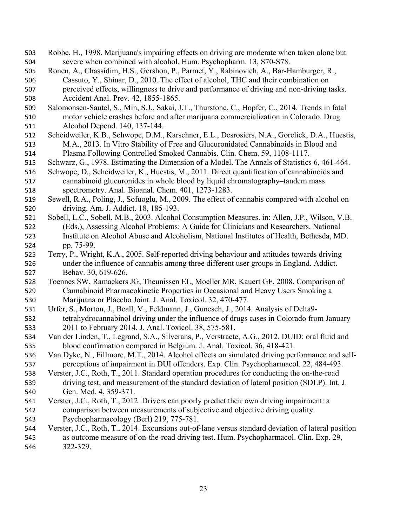- Robbe, H., 1998. Marijuana's impairing effects on driving are moderate when taken alone but severe when combined with alcohol. Hum. Psychopharm. 13, S70-S78.
- Ronen, A., Chassidim, H.S., Gershon, P., Parmet, Y., Rabinovich, A., Bar-Hamburger, R., Cassuto, Y., Shinar, D., 2010. The effect of alcohol, THC and their combination on perceived effects, willingness to drive and performance of driving and non-driving tasks. Accident Anal. Prev. 42, 1855-1865.
- Salomonsen-Sautel, S., Min, S.J., Sakai, J.T., Thurstone, C., Hopfer, C., 2014. Trends in fatal motor vehicle crashes before and after marijuana commercialization in Colorado. Drug Alcohol Depend. 140, 137-144.
- Scheidweiler, K.B., Schwope, D.M., Karschner, E.L., Desrosiers, N.A., Gorelick, D.A., Huestis, M.A., 2013. In Vitro Stability of Free and Glucuronidated Cannabinoids in Blood and Plasma Following Controlled Smoked Cannabis. Clin. Chem. 59, 1108-1117.
- Schwarz, G., 1978. Estimating the Dimension of a Model. The Annals of Statistics 6, 461-464.
- Schwope, D., Scheidweiler, K., Huestis, M., 2011. Direct quantification of cannabinoids and
- cannabinoid glucuronides in whole blood by liquid chromatography–tandem mass spectrometry. Anal. Bioanal. Chem. 401, 1273-1283.
- Sewell, R.A., Poling, J., Sofuoglu, M., 2009. The effect of cannabis compared with alcohol on driving. Am. J. Addict. 18, 185-193.
- Sobell, L.C., Sobell, M.B., 2003. Alcohol Consumption Measures. in: Allen, J.P., Wilson, V.B. (Eds.), Assessing Alcohol Problems: A Guide for Clinicians and Researchers. National Institute on Alcohol Abuse and Alcoholism, National Institutes of Health, Bethesda, MD. pp. 75-99.
- Terry, P., Wright, K.A., 2005. Self-reported driving behaviour and attitudes towards driving under the influence of cannabis among three different user groups in England. Addict. Behav. 30, 619-626.
- Toennes SW, Ramaekers JG, Theunissen EL, Moeller MR, Kauert GF, 2008. Comparison of Cannabinoid Pharmacokinetic Properties in Occasional and Heavy Users Smoking a Marijuana or Placebo Joint. J. Anal. Toxicol. 32, 470-477.
- Urfer, S., Morton, J., Beall, V., Feldmann, J., Gunesch, J., 2014. Analysis of Delta9- tetrahydrocannabinol driving under the influence of drugs cases in Colorado from January 2011 to February 2014. J. Anal. Toxicol. 38, 575-581.
- Van der Linden, T., Legrand, S.A., Silverans, P., Verstraete, A.G., 2012. DUID: oral fluid and blood confirmation compared in Belgium. J. Anal. Toxicol. 36, 418-421.
- Van Dyke, N., Fillmore, M.T., 2014. Alcohol effects on simulated driving performance and self-perceptions of impairment in DUI offenders. Exp. Clin. Psychopharmacol. 22, 484-493.
- Verster, J.C., Roth, T., 2011. Standard operation procedures for conducting the on-the-road driving test, and measurement of the standard deviation of lateral position (SDLP). Int. J. Gen. Med. 4, 359-371.
- Verster, J.C., Roth, T., 2012. Drivers can poorly predict their own driving impairment: a comparison between measurements of subjective and objective driving quality. Psychopharmacology (Berl) 219, 775-781.
- Verster, J.C., Roth, T., 2014. Excursions out-of-lane versus standard deviation of lateral position as outcome measure of on-the-road driving test. Hum. Psychopharmacol. Clin. Exp. 29, 322-329.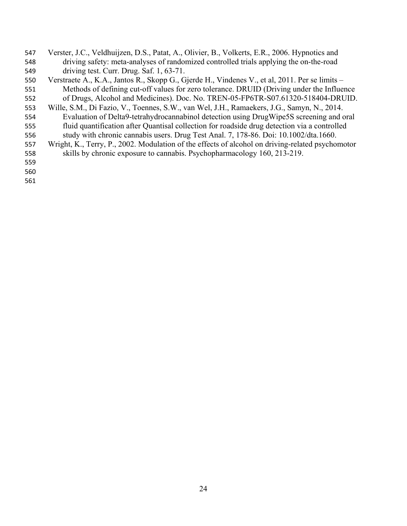- Verster, J.C., Veldhuijzen, D.S., Patat, A., Olivier, B., Volkerts, E.R., 2006. Hypnotics and driving safety: meta-analyses of randomized controlled trials applying the on-the-road driving test. Curr. Drug. Saf. 1, 63-71.
- Verstraete A., K.A., Jantos R., Skopp G., Gjerde H., Vindenes V., et al, 2011. Per se limits Methods of defining cut-off values for zero tolerance. DRUID (Driving under the Influence of Drugs, Alcohol and Medicines). Doc. No. TREN-05-FP6TR-S07.61320-518404-DRUID.
- Wille, S.M., Di Fazio, V., Toennes, S.W., van Wel, J.H., Ramaekers, J.G., Samyn, N., 2014.
- Evaluation of Delta9-tetrahydrocannabinol detection using DrugWipe5S screening and oral fluid quantification after Quantisal collection for roadside drug detection via a controlled
- study with chronic cannabis users. Drug Test Anal. 7, 178-86. Doi: 10.1002/dta.1660.
- Wright, K., Terry, P., 2002. Modulation of the effects of alcohol on driving-related psychomotor skills by chronic exposure to cannabis. Psychopharmacology 160, 213-219.
- 
-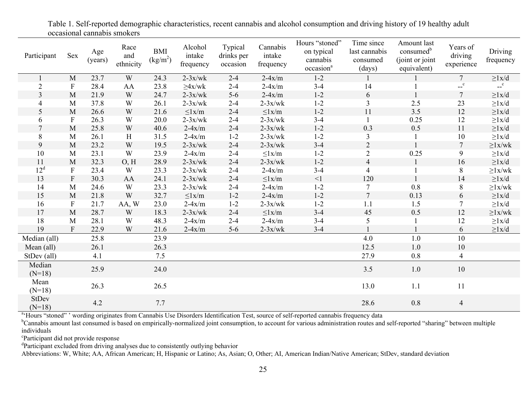| Participant              | Sex              | Age<br>(years) | Race<br>and<br>ethnicity | <b>BMI</b><br>(kg/m <sup>2</sup> ) | Alcohol<br>intake<br>frequency | Typical<br>drinks per<br>occasion | Cannabis<br>intake<br>frequency | Hours "stoned"<br>on typical<br>cannabis<br>occasion <sup>a</sup> | Time since<br>last cannabis<br>consumed<br>(days) | Amount last<br>consumed <sup>b</sup><br>(joint or joint)<br>equivalent) | Years of<br>driving<br>experience | Driving<br>frequency |
|--------------------------|------------------|----------------|--------------------------|------------------------------------|--------------------------------|-----------------------------------|---------------------------------|-------------------------------------------------------------------|---------------------------------------------------|-------------------------------------------------------------------------|-----------------------------------|----------------------|
|                          | M                | 23.7           | W                        | 24.3                               | $2-3x/wk$                      | $2 - 4$                           | $2-4x/m$                        | $1 - 2$                                                           |                                                   |                                                                         | $7\overline{ }$                   | $\geq 1x/d$          |
| $\overline{2}$           | $\boldsymbol{F}$ | 28.4           | AA                       | 23.8                               | $\geq 4x/wk$                   | $2 - 4$                           | $2-4x/m$                        | $3-4$                                                             | 14                                                |                                                                         | $-c$                              | $-c$                 |
| $\overline{3}$           | $\mathbf{M}$     | 21.9           | W                        | 24.7                               | $2-3x/wk$                      | $5-6$                             | $2-4x/m$                        | $1 - 2$                                                           | 6                                                 | $\mathbf{1}$                                                            | $\tau$                            | $\geq 1x/d$          |
| 4                        | M                | 37.8           | W                        | 26.1                               | $2-3x/wk$                      | $2 - 4$                           | $2-3x/wk$                       | $1 - 2$                                                           | $\mathfrak{Z}$                                    | 2.5                                                                     | 23                                | $\geq$ lx/d          |
| 5                        | $\mathbf{M}$     | 26.6           | W                        | 21.6                               | $\leq$ lx/m                    | $2 - 4$                           | $\leq$ lx/m                     | $1 - 2$                                                           | 11                                                | 3.5                                                                     | 12                                | ${\geq}1x/d$         |
| 6                        | $\boldsymbol{F}$ | 26.3           | W                        | 20.0                               | $2-3x/wk$                      | $2 - 4$                           | $2-3x/wk$                       | $3 - 4$                                                           | $\mathbf{1}$                                      | 0.25                                                                    | 12                                | $\geq 1x/d$          |
| $\overline{7}$           | M                | 25.8           | W                        | 40.6                               | $2-4x/m$                       | $2 - 4$                           | $2-3x/wk$                       | $1 - 2$                                                           | 0.3                                               | 0.5                                                                     | 11                                | ${\geq}1x/d$         |
| 8                        | M                | 26.1           | H                        | 31.5                               | $2-4x/m$                       | $1 - 2$                           | $2-3x/wk$                       | $1 - 2$                                                           | 3                                                 |                                                                         | $10\,$                            | ${\geq}1x/d$         |
| 9                        | M                | 23.2           | W                        | 19.5                               | $2-3x/wk$                      | $2 - 4$                           | $2-3x/wk$                       | $3 - 4$                                                           | $\sqrt{2}$                                        |                                                                         | $\overline{7}$                    | $\geq$ 1x/wk         |
| 10                       | M                | 23.1           | W                        | 23.9                               | $2-4x/m$                       | $2 - 4$                           | $\leq$ l $x/m$                  | $1 - 2$                                                           | $\sqrt{2}$                                        | 0.25                                                                    | 9                                 | $\geq 1x/d$          |
| 11                       | M                | 32.3           | O, H                     | 28.9                               | $2-3x/wk$                      | $2 - 4$                           | $2-3x/wk$                       | $1 - 2$                                                           | $\overline{4}$                                    | $\mathbf{1}$                                                            | 16                                | $\geq 1x/d$          |
| 12 <sup>d</sup>          | $\mathbf{F}$     | 23.4           | W                        | 23.3                               | $2-3x/wk$                      | $2 - 4$                           | $2-4x/m$                        | $3 - 4$                                                           | $\overline{4}$                                    |                                                                         | 8                                 | ${\geq}1x/wk$        |
| 13                       | ${\bf F}$        | 30.3           | AA                       | 24.1                               | $2-3x/wk$                      | $2 - 4$                           | $\leq$ l $x/m$                  | $\leq$ 1                                                          | 120                                               | $\mathbf{1}$                                                            | 14                                | $\geq 1x/d$          |
| 14                       | M                | 24.6           | W                        | 23.3                               | $2-3x/wk$                      | $2 - 4$                           | $2-4x/m$                        | $1 - 2$                                                           | $\tau$                                            | 0.8                                                                     | 8                                 | $\geq$ 1x/wk         |
| 15                       | M                | 21.8           | W                        | 32.7                               | $\leq$ 1x/m                    | $1 - 2$                           | $2-4x/m$                        | $1 - 2$                                                           | $\overline{7}$                                    | 0.13                                                                    | 6                                 | $\geq 1x/d$          |
| 16                       | $\mathbf{F}$     | 21.7           | AA, W                    | 23.0                               | $2-4x/m$                       | $1 - 2$                           | $2-3x/wk$                       | $1 - 2$                                                           | 1.1                                               | 1.5                                                                     | $\overline{7}$                    | $\geq 1x/d$          |
| 17                       | $\mathbf{M}$     | 28.7           | W                        | 18.3                               | $2-3x/wk$                      | $2 - 4$                           | $\leq$ l $x/m$                  | $3-4$                                                             | 45                                                | 0.5                                                                     | 12                                | ${\geq}1x/wk$        |
| 18                       | M                | 28.1           | W                        | 48.3                               | $2-4x/m$                       | $2 - 4$                           | $2-4x/m$                        | $3 - 4$                                                           | 5                                                 |                                                                         | 12                                | $\geq 1x/d$          |
| 19                       | $\mathbf{F}$     | 22.9           | W                        | 21.6                               | $2-4x/m$                       | $5-6$                             | $2-3x/wk$                       | $3-4$                                                             |                                                   |                                                                         | 6                                 | $\geq 1x/d$          |
| Median (all)             |                  | 25.8           |                          | 23.9                               |                                |                                   |                                 |                                                                   | 4.0                                               | $1.0\,$                                                                 | 10                                |                      |
| Mean (all)               |                  | 26.1           |                          | 26.3                               |                                |                                   |                                 |                                                                   | 12.5                                              | 1.0                                                                     | 10                                |                      |
| StDev (all)              |                  | 4.1            |                          | 7.5                                |                                |                                   |                                 |                                                                   | 27.9                                              | 0.8                                                                     | $\overline{4}$                    |                      |
| Median<br>$(N=18)$       |                  | 25.9           |                          | 24.0                               |                                |                                   |                                 |                                                                   | 3.5                                               | $1.0$                                                                   | $10\,$                            |                      |
| Mean<br>$(N=18)$         |                  | 26.3           |                          | 26.5                               |                                |                                   |                                 |                                                                   | 13.0                                              | 1.1                                                                     | 11                                |                      |
| <b>StDev</b><br>$(N=18)$ |                  | 4.2            |                          | 7.7                                |                                |                                   |                                 |                                                                   | 28.6                                              | 0.8                                                                     | $\overline{4}$                    |                      |

Table 1. Self-reported demographic characteristics, recent cannabis and alcohol consumption and driving history of 19 healthy adult occasional cannabis smokers

a'Hours "stoned" ' wording originates from Cannabis Use Disorders Identification Test, source of self-reported cannabis frequency data

<sup>b</sup>Cannabis amount last consumed is based on empirically-normalized joint consumption, to account for various administration routes and self-reported "sharing" between multiple individuals

cParticipant did not provide response

<sup>d</sup>Participant excluded from driving analyses due to consistently outlying behavior

Abbreviations: W, White; AA, African American; H, Hispanic or Latino; As, Asian; O, Other; AI, American Indian/Native American; StDev, standard deviation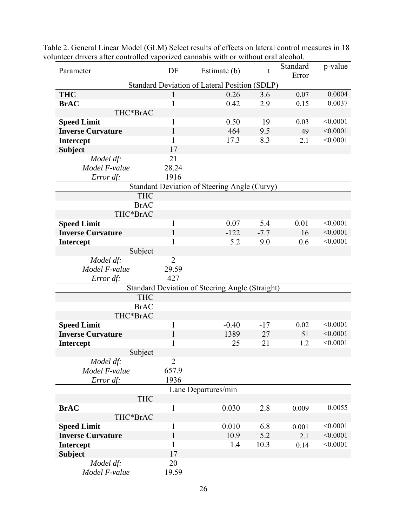| iunteel urivers allei controlleu vaporizeu cannabis with or without oral alcohol. |                |                                                        |        | p-value |          |
|-----------------------------------------------------------------------------------|----------------|--------------------------------------------------------|--------|---------|----------|
| Parameter                                                                         | DF             | Estimate (b)                                           | t      | Error   |          |
|                                                                                   |                | Standard Deviation of Lateral Position (SDLP)          |        |         |          |
| <b>THC</b>                                                                        |                | 0.26                                                   | 3.6    | 0.07    | 0.0004   |
| <b>BrAC</b>                                                                       | 1              | 0.42                                                   | 2.9    | 0.15    | 0.0037   |
| THC*BrAC                                                                          |                |                                                        |        |         |          |
| <b>Speed Limit</b>                                                                | 1              | 0.50                                                   | 19     | 0.03    | < 0.0001 |
| <b>Inverse Curvature</b>                                                          | 1              | 464                                                    | 9.5    | 49      | < 0.0001 |
| <b>Intercept</b>                                                                  | 1              | 17.3                                                   | 8.3    | 2.1     | < 0.0001 |
| <b>Subject</b>                                                                    | 17             |                                                        |        |         |          |
| Model df:                                                                         | 21             |                                                        |        |         |          |
| Model F-value                                                                     | 28.24          |                                                        |        |         |          |
| Error df:                                                                         | 1916           |                                                        |        |         |          |
|                                                                                   |                | Standard Deviation of Steering Angle (Curvy)           |        |         |          |
| <b>THC</b>                                                                        |                |                                                        |        |         |          |
| <b>BrAC</b>                                                                       |                |                                                        |        |         |          |
| THC*BrAC                                                                          |                |                                                        |        |         |          |
| <b>Speed Limit</b>                                                                | 1              | 0.07                                                   | 5.4    | 0.01    | < 0.0001 |
| <b>Inverse Curvature</b>                                                          |                | $-122$                                                 | $-7.7$ | 16      | < 0.0001 |
| <b>Intercept</b>                                                                  | 1              | 5.2                                                    | 9.0    | 0.6     | < 0.0001 |
| Subject                                                                           |                |                                                        |        |         |          |
| Model df:                                                                         | $\overline{2}$ |                                                        |        |         |          |
| Model F-value                                                                     | 29.59          |                                                        |        |         |          |
| Error df:                                                                         | 427            |                                                        |        |         |          |
|                                                                                   |                | <b>Standard Deviation of Steering Angle (Straight)</b> |        |         |          |
| <b>THC</b>                                                                        |                |                                                        |        |         |          |
| <b>BrAC</b>                                                                       |                |                                                        |        |         |          |
| THC*BrAC                                                                          |                |                                                        |        |         |          |
| <b>Speed Limit</b>                                                                | 1              | $-0.40$                                                | $-17$  | 0.02    | < 0.0001 |
| <b>Inverse Curvature</b>                                                          | 1              | 1389                                                   | 27     | 51      | < 0.0001 |
| <b>Intercept</b>                                                                  | 1              | 25                                                     | 21     | 1.2     | < 0.0001 |
| Subject                                                                           |                |                                                        |        |         |          |
| Model df:                                                                         | $\overline{2}$ |                                                        |        |         |          |
| Model F-value                                                                     | 657.9          |                                                        |        |         |          |
| Error df:                                                                         | 1936           |                                                        |        |         |          |
|                                                                                   |                | Lane Departures/min                                    |        |         |          |
| <b>THC</b>                                                                        |                |                                                        |        |         |          |
| <b>BrAC</b>                                                                       | 1              | 0.030                                                  | 2.8    | 0.009   | 0.0055   |
| THC*BrAC                                                                          |                |                                                        |        |         |          |
| <b>Speed Limit</b>                                                                |                | 0.010                                                  | 6.8    | 0.001   | < 0.0001 |
| <b>Inverse Curvature</b>                                                          | 1              | 10.9                                                   | 5.2    | 2.1     | < 0.0001 |
| <b>Intercept</b>                                                                  | 1              | 1.4                                                    | 10.3   | 0.14    | < 0.0001 |
| <b>Subject</b>                                                                    | 17             |                                                        |        |         |          |
| Model df:                                                                         | 20             |                                                        |        |         |          |
| Model F-value                                                                     | 19.59          |                                                        |        |         |          |

Table 2. General Linear Model (GLM) Select results of effects on lateral control measures in 18 volunteer drivers after controlled vaporized cannabis with or without oral alcohol.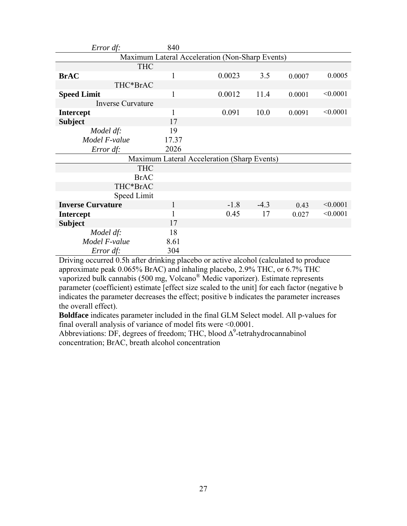| Error df:                                       | 840   |                                             |        |        |          |  |  |  |  |  |
|-------------------------------------------------|-------|---------------------------------------------|--------|--------|----------|--|--|--|--|--|
| Maximum Lateral Acceleration (Non-Sharp Events) |       |                                             |        |        |          |  |  |  |  |  |
| <b>THC</b>                                      |       |                                             |        |        |          |  |  |  |  |  |
| <b>BrAC</b>                                     | 1     | 0.0023                                      | 3.5    | 0.0007 | 0.0005   |  |  |  |  |  |
| THC*BrAC                                        |       |                                             |        |        |          |  |  |  |  |  |
| <b>Speed Limit</b>                              | 1     | 0.0012                                      | 11.4   | 0.0001 | < 0.0001 |  |  |  |  |  |
| <b>Inverse Curvature</b>                        |       |                                             |        |        |          |  |  |  |  |  |
| <b>Intercept</b>                                | 1     | 0.091                                       | 10.0   | 0.0091 | < 0.0001 |  |  |  |  |  |
| <b>Subject</b>                                  | 17    |                                             |        |        |          |  |  |  |  |  |
| Model df:                                       | 19    |                                             |        |        |          |  |  |  |  |  |
| Model F-value                                   | 17.37 |                                             |        |        |          |  |  |  |  |  |
| Error df:                                       | 2026  |                                             |        |        |          |  |  |  |  |  |
|                                                 |       | Maximum Lateral Acceleration (Sharp Events) |        |        |          |  |  |  |  |  |
| <b>THC</b>                                      |       |                                             |        |        |          |  |  |  |  |  |
| <b>BrAC</b>                                     |       |                                             |        |        |          |  |  |  |  |  |
| THC*BrAC                                        |       |                                             |        |        |          |  |  |  |  |  |
| Speed Limit                                     |       |                                             |        |        |          |  |  |  |  |  |
| <b>Inverse Curvature</b>                        | 1     | $-1.8$                                      | $-4.3$ | 0.43   | < 0.0001 |  |  |  |  |  |
| <b>Intercept</b>                                | 1     | 0.45                                        | 17     | 0.027  | < 0.0001 |  |  |  |  |  |
| <b>Subject</b>                                  | 17    |                                             |        |        |          |  |  |  |  |  |
| Model df:                                       | 18    |                                             |        |        |          |  |  |  |  |  |
| Model F-value                                   | 8.61  |                                             |        |        |          |  |  |  |  |  |
| Error df:                                       | 304   |                                             |        |        |          |  |  |  |  |  |

Driving occurred 0.5h after drinking placebo or active alcohol (calculated to produce approximate peak 0.065% BrAC) and inhaling placebo, 2.9% THC, or 6.7% THC vaporized bulk cannabis (500 mg, Volcano® Medic vaporizer). Estimate represents parameter (coefficient) estimate [effect size scaled to the unit] for each factor (negative b indicates the parameter decreases the effect; positive b indicates the parameter increases the overall effect).

**Boldface** indicates parameter included in the final GLM Select model. All p-values for final overall analysis of variance of model fits were <0.0001.

Abbreviations: DF, degrees of freedom; THC, blood  $\Delta^9$ -tetrahydrocannabinol concentration; BrAC, breath alcohol concentration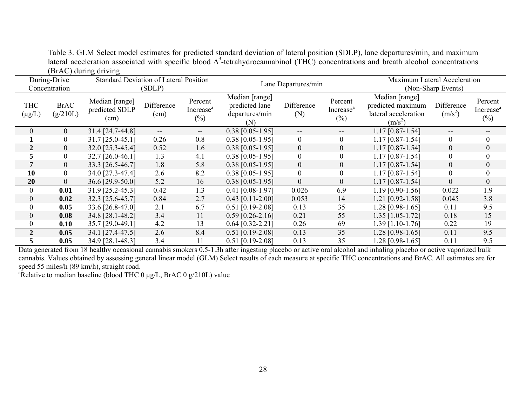|                               |                         | $(D1/\sqrt{N})$ uning unving             |                    |                                            |                                                           |                     |                                            |                                                                          |                         |                                            |  |
|-------------------------------|-------------------------|------------------------------------------|--------------------|--------------------------------------------|-----------------------------------------------------------|---------------------|--------------------------------------------|--------------------------------------------------------------------------|-------------------------|--------------------------------------------|--|
| During-Drive<br>Concentration |                         | Standard Deviation of Lateral Position   | (SDLP)             |                                            |                                                           | Lane Departures/min |                                            | Maximum Lateral Acceleration<br>(Non-Sharp Events)                       |                         |                                            |  |
| <b>THC</b><br>$(\mu g/L)$     | <b>BrAC</b><br>(g/210L) | Median [range]<br>predicted SDLP<br>(cm) | Difference<br>(cm) | Percent<br>Increase <sup>a</sup><br>$(\%)$ | Median [range]<br>predicted lane<br>departures/min<br>(N) | Difference<br>(N)   | Percent<br>Increase <sup>a</sup><br>$(\%)$ | Median [range]<br>predicted maximum<br>lateral acceleration<br>$(m/s^2)$ | Difference<br>$(m/s^2)$ | Percent<br>Increase <sup>a</sup><br>$(\%)$ |  |
| 0                             | $\mathbf{0}$            | 31.4 [24.7-44.8]                         | $\qquad \qquad -$  | --                                         | $0.38$ [0.05-1.95]                                        | $- -$               | --                                         | $1.17$ [0.87-1.54]                                                       | --                      | --                                         |  |
|                               | $\boldsymbol{0}$        | 31.7 [25.0-45.1]                         | 0.26               | 0.8                                        | $0.38$ [0.05-1.95]                                        | $\boldsymbol{0}$    | $\boldsymbol{0}$                           | $1.17$ [0.87-1.54]                                                       | $\boldsymbol{0}$        | $\overline{0}$                             |  |
| 2                             | $\mathbf{0}$            | 32.0 [25.3-45.4]                         | 0.52               | 1.6                                        | $0.38$ [0.05-1.95]                                        | $\boldsymbol{0}$    | $\overline{0}$                             | $1.17$ [0.87-1.54]                                                       | $\overline{0}$          | $\boldsymbol{0}$                           |  |
|                               | $\boldsymbol{0}$        | 32.7 [26.0-46.1]                         | 1.3                | 4.1                                        | $0.38$ [0.05-1.95]                                        | $\overline{0}$      | $\theta$                                   | 1.17 [0.87-1.54]                                                         | $\boldsymbol{0}$        | $\theta$                                   |  |
|                               | $\overline{0}$          | 33.3 [26.5-46.7]                         | 1.8                | 5.8                                        | $0.38$ [0.05-1.95]                                        | $\overline{0}$      | $\overline{0}$                             | $1.17$ [0.87-1.54]                                                       | $\boldsymbol{0}$        | $\overline{0}$                             |  |
| 10                            | $\mathbf{0}$            | 34.0 [27.3-47.4]                         | 2.6                | 8.2                                        | $0.38$ [0.05-1.95]                                        | $\boldsymbol{0}$    | $\boldsymbol{0}$                           | $1.17$ [0.87-1.54]                                                       | $\boldsymbol{0}$        | $\boldsymbol{0}$                           |  |
| 20                            | $\boldsymbol{0}$        | 36.6 [29.9-50.0]                         | 5.2                | 16                                         | $0.38$ [0.05-1.95]                                        | $\boldsymbol{0}$    | $\boldsymbol{0}$                           | 1.17 [0.87-1.54]                                                         | $\boldsymbol{0}$        | $\boldsymbol{0}$                           |  |
| $\theta$                      | 0.01                    | 31.9 [25.2-45.3]                         | 0.42               | 1.3                                        | $0.41$ [0.08-1.97]                                        | 0.026               | 6.9                                        | 1.19 [0.90-1.56]                                                         | 0.022                   | 1.9                                        |  |
| $\overline{0}$                | 0.02                    | 32.3 [25.6-45.7]                         | 0.84               | 2.7                                        | $0.43$ [0.11-2.00]                                        | 0.053               | 14                                         | 1.21 [0.92-1.58]                                                         | 0.045                   | 3.8                                        |  |
| $\Omega$                      | 0.05                    | 33.6 [26.8-47.0]                         | 2.1                | 6.7                                        | $0.51$ [0.19-2.08]                                        | 0.13                | 35                                         | 1.28 [0.98-1.65]                                                         | 0.11                    | 9.5                                        |  |
| $\overline{0}$                | 0.08                    | 34.8 [28.1-48.2]                         | 3.4                | 11                                         | $0.59$ [0.26-2.16]                                        | 0.21                | 55                                         | $1.35$ [1.05-1.72]                                                       | 0.18                    | 15                                         |  |
| $\theta$                      | 0.10                    | 35.7 [29.0-49.1]                         | 4.2                | 13                                         | $0.64$ [0.32-2.21]                                        | 0.26                | 69                                         | 1.39 [1.10-1.76]                                                         | 0.22                    | 19                                         |  |
| $\overline{2}$                | 0.05                    | 34.1 [27.4-47.5]                         | 2.6                | 8.4                                        | $0.51$ [0.19-2.08]                                        | 0.13                | 35                                         | 1.28 [0.98-1.65]                                                         | 0.11                    | 9.5                                        |  |
|                               | 0.05                    | 34.9 [28.1-48.3]                         | 3.4                | 11                                         | $0.51$ [0.19-2.08]                                        | 0.13                | 35                                         | 1.28 [0.98-1.65]                                                         | 0.11                    | 9.5                                        |  |

Table 3. GLM Select model estimates for predicted standard deviation of lateral position (SDLP), lane departures/min, and maximum lateral acceleration associated with specific blood  $\Delta^9$ -tetrahydrocannabinol (THC) concentrations and breath alcohol concentrations (BrAC) during driving

Data generated from 18 healthy occasional cannabis smokers 0.5-1.3h after ingesting placebo or active oral alcohol and inhaling placebo or active vaporized bulk cannabis. Values obtained by assessing general linear model (GLM) Select results of each measure at specific THC concentrations and BrAC. All estimates are for speed 55 miles/h (89 km/h), straight road.

<sup>a</sup>Relative to median baseline (blood THC 0  $\mu$ g/L, BrAC 0 g/210L) value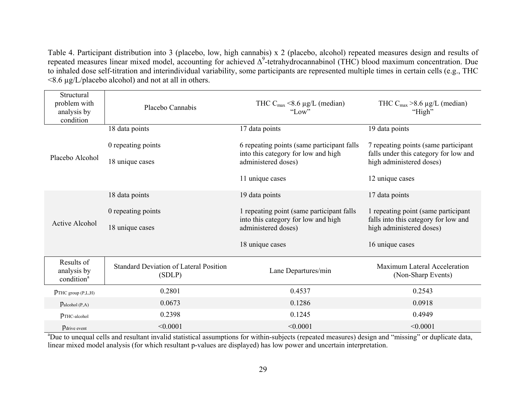Table 4. Participant distribution into 3 (placebo, low, high cannabis) x 2 (placebo, alcohol) repeated measures design and results of repeated measures linear mixed model, accounting for achieved ∆9-tetrahydrocannabinol (THC) blood maximum concentration. Due to inhaled dose self-titration and interindividual variability, some participants are represented multiple times in certain cells (e.g., THC <8.6 µg/L/placebo alcohol) and not at all in others.

| Structural<br>problem with<br>analysis by<br>condition | Placebo Cannabis                                        | THC $C_{\text{max}}$ <8.6 µg/L (median)<br>"Low"                                  | THC $C_{\text{max}} > 8.6 \mu g/L$ (median)<br>"High"             |  |  |
|--------------------------------------------------------|---------------------------------------------------------|-----------------------------------------------------------------------------------|-------------------------------------------------------------------|--|--|
|                                                        | 18 data points                                          | 17 data points                                                                    | 19 data points                                                    |  |  |
|                                                        | 0 repeating points                                      | 6 repeating points (same participant falls<br>into this category for low and high | 7 repeating points (same participant                              |  |  |
| Placebo Alcohol                                        | 18 unique cases                                         | administered doses)                                                               | falls under this category for low and<br>high administered doses) |  |  |
|                                                        |                                                         | 11 unique cases                                                                   | 12 unique cases                                                   |  |  |
|                                                        | 18 data points                                          | 19 data points                                                                    | 17 data points                                                    |  |  |
|                                                        | 0 repeating points                                      | 1 repeating point (same participant falls)                                        | 1 repeating point (same participant                               |  |  |
| <b>Active Alcohol</b>                                  | 18 unique cases                                         | into this category for low and high<br>administered doses)                        | falls into this category for low and<br>high administered doses)  |  |  |
|                                                        |                                                         | 18 unique cases                                                                   | 16 unique cases                                                   |  |  |
| Results of<br>analysis by<br>condition <sup>a</sup>    | <b>Standard Deviation of Lateral Position</b><br>(SDLP) | Lane Departures/min                                                               | Maximum Lateral Acceleration<br>(Non-Sharp Events)                |  |  |
| PTHC group (P,L,H)                                     | 0.2801                                                  | 0.4537                                                                            | 0.2543                                                            |  |  |
| Palcohol (P,A)                                         | 0.0673                                                  | 0.1286                                                                            | 0.0918                                                            |  |  |
| $p$ THC-alcohol                                        | 0.2398                                                  | 0.1245                                                                            |                                                                   |  |  |
| Pdrive event                                           | < 0.0001                                                | < 0.0001                                                                          | < 0.0001                                                          |  |  |

<sup>a</sup>Due to unequal cells and resultant invalid statistical assumptions for within-subjects (repeated measures) design and "missing" or duplicate data, linear mixed model analysis (for which resultant p-values are displayed) has low power and uncertain interpretation.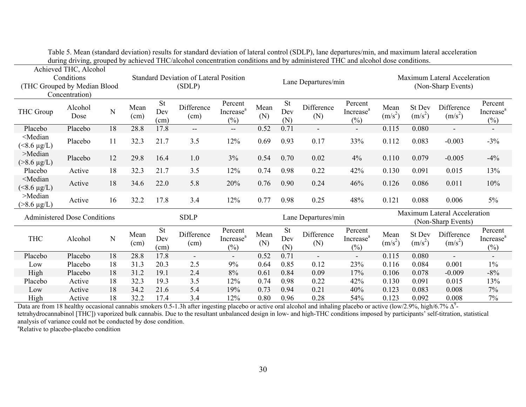| Achieved THC, Alcohol<br>Conditions<br>(THC Grouped by Median Blood<br>Concentration) |                 |    | <b>Standard Deviation of Lateral Position</b><br>(SDLP) |                          |                          | Lane Departures/min                        |             |                         |                          | <b>Maximum Lateral Acceleration</b><br>(Non-Sharp Events) |                   |                     |                          |                                            |
|---------------------------------------------------------------------------------------|-----------------|----|---------------------------------------------------------|--------------------------|--------------------------|--------------------------------------------|-------------|-------------------------|--------------------------|-----------------------------------------------------------|-------------------|---------------------|--------------------------|--------------------------------------------|
| THC Group                                                                             | Alcohol<br>Dose | N  | Mean<br>(cm)                                            | <b>St</b><br>Dev<br>(cm) | Difference<br>(cm)       | Percent<br>Increase <sup>a</sup><br>$(\%)$ | Mean<br>(N) | <b>St</b><br>Dev<br>(N) | Difference<br>(N)        | Percent<br>Increase <sup>a</sup><br>$(\%)$                | Mean<br>$(m/s^2)$ | St Dev<br>$(m/s^2)$ | Difference<br>$(m/s^2)$  | Percent<br>Increase <sup>a</sup><br>$(\%)$ |
| Placebo                                                                               | Placebo         | 18 | 28.8                                                    | 17.8                     | $\overline{\phantom{a}}$ | $--$                                       | 0.52        | 0.71                    | $\overline{\phantom{a}}$ | $\overline{\phantom{a}}$                                  | 0.115             | 0.080               | $\blacksquare$           | $\overline{\phantom{a}}$                   |
| <median<br><math>(*8.6 \mu g/L)</math></median<br>                                    | Placebo         | 11 | 32.3                                                    | 21.7                     | 3.5                      | 12%                                        | 0.69        | 0.93                    | 0.17                     | 33%                                                       | 0.112             | 0.083               | $-0.003$                 | $-3%$                                      |
| $>$ Median<br>$( > 8.6 \mu g/L)$                                                      | Placebo         | 12 | 29.8                                                    | 16.4                     | 1.0                      | 3%                                         | 0.54        | 0.70                    | 0.02                     | 4%                                                        | 0.110             | 0.079               | $-0.005$                 | $-4%$                                      |
| Placebo                                                                               | Active          | 18 | 32.3                                                    | 21.7                     | 3.5                      | 12%                                        | 0.74        | 0.98                    | 0.22                     | 42%                                                       | 0.130             | 0.091               | 0.015                    | 13%                                        |
| <median<br><math>(&lt;8.6 \mu g/L)</math></median<br>                                 | Active          | 18 | 34.6                                                    | 22.0                     | 5.8                      | 20%                                        | 0.76        | 0.90                    | 0.24                     | 46%                                                       | 0.126             | 0.086               | 0.011                    | 10%                                        |
| >Median<br>$( > 8.6 \mu g/L)$                                                         | Active          | 16 | 32.2                                                    | 17.8                     | 3.4                      | 12%                                        | 0.77        | 0.98                    | 0.25                     | 48%                                                       | 0.121             | 0.088               | 0.006                    | $5\%$                                      |
| <b>Administered Dose Conditions</b>                                                   |                 |    | <b>SDLP</b>                                             |                          |                          | Lane Departures/min                        |             |                         |                          | Maximum Lateral Acceleration<br>(Non-Sharp Events)        |                   |                     |                          |                                            |
| <b>THC</b>                                                                            | Alcohol         | N  | Mean<br>(cm)                                            | St<br>Dev<br>(cm)        | Difference<br>(cm)       | Percent<br>Increase <sup>a</sup><br>$(\%)$ | Mean<br>(N) | <b>St</b><br>Dev<br>(N) | Difference<br>(N)        | Percent<br>Increase <sup>a</sup><br>$(\%)$                | Mean<br>$(m/s^2)$ | St Dev<br>$(m/s^2)$ | Difference<br>$(m/s^2)$  | Percent<br>Increase <sup>a</sup><br>$(\%)$ |
| Placebo                                                                               | Placebo         | 18 | 28.8                                                    | 17.8                     | $\overline{\phantom{a}}$ | ۰.                                         | 0.52        | 0.71                    | $\overline{\phantom{a}}$ | $\overline{\phantom{a}}$                                  | 0.115             | 0.080               | $\overline{\phantom{a}}$ | $\overline{\phantom{a}}$                   |
| Low                                                                                   | Placebo         | 18 | 31.3                                                    | 20.3                     | 2.5                      | 9%                                         | 0.64        | 0.85                    | 0.12                     | 23%                                                       | 0.116             | 0.084               | 0.001                    | 1%                                         |
| High                                                                                  | Placebo         | 18 | 31.2                                                    | 19.1                     | 2.4                      | 8%                                         | 0.61        | 0.84                    | 0.09                     | 17%                                                       | 0.106             | 0.078               | $-0.009$                 | $-8%$                                      |
| Placebo                                                                               | Active          | 18 | 32.3                                                    | 19.3                     | 3.5                      | 12%                                        | 0.74        | 0.98                    | 0.22                     | 42%                                                       | 0.130             | 0.091               | 0.015                    | 13%                                        |
| Low                                                                                   | Active          | 18 | 34.2                                                    | 21.6                     | 5.4                      | 19%                                        | 0.73        | 0.94                    | 0.21                     | 40%                                                       | 0.123             | 0.083               | 0.008                    | 7%                                         |
| High                                                                                  | Active          | 18 | 32.2                                                    | 17.4                     | 3.4                      | 12%                                        | 0.80        | 0.96                    | 0.28                     | 54%                                                       | 0.123             | 0.092               | 0.008                    | 7%                                         |

Table 5. Mean (standard deviation) results for standard deviation of lateral control (SDLP), lane departures/min, and maximum lateral acceleration during driving, grouped by achieved THC/alcohol concentration conditions and by administered THC and alcohol dose conditions.

Data are from 18 healthy occasional cannabis smokers 0.5-1.3h after ingesting placebo or active oral alcohol and inhaling placebo or active (low/2.9%, high/6.7% ∆<sup>9</sup>tetrahydrocannabinol [THC]) vaporized bulk cannabis. Due to the resultant unbalanced design in low- and high-THC conditions imposed by participants' self-titration, statistical analysis of variance could not be conducted by dose condition. <sup>a</sup>Relative to placebo-placebo condition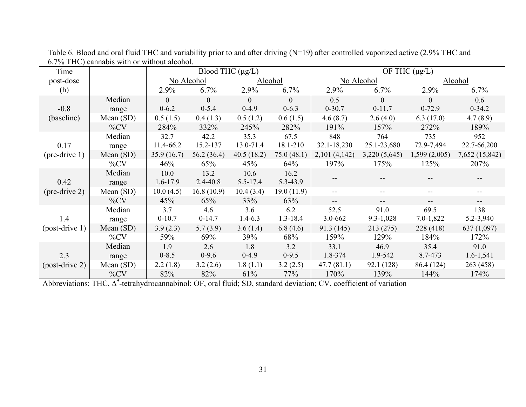| Time                           |             | Blood THC $(\mu g/L)$ |              |              |                | OF THC $(\mu g/L)$       |               |               |                |
|--------------------------------|-------------|-----------------------|--------------|--------------|----------------|--------------------------|---------------|---------------|----------------|
| post-dose                      |             | No Alcohol            |              | Alcohol      |                | No Alcohol               |               | Alcohol       |                |
| (h)                            |             | 2.9%                  | 6.7%         | 2.9%         | 6.7%           | 2.9%                     | 6.7%          | 2.9%          | 6.7%           |
| $-0.8$<br>(baseline)           | Median      | $\theta$              | $\Omega$     | $\theta$     | $\overline{0}$ | 0.5                      | $\Omega$      | $\Omega$      | 0.6            |
|                                | range       | $0 - 6.2$             | $0 - 5.4$    | $0-4.9$      | $0 - 6.3$      | $0 - 30.7$               | $0-11.7$      | $0-72.9$      | $0-34.2$       |
|                                | Mean $(SD)$ | 0.5(1.5)              | 0.4(1.3)     | 0.5(1.2)     | 0.6(1.5)       | 4.6(8.7)                 | 2.6(4.0)      | 6.3(17.0)     | 4.7(8.9)       |
|                                | $\%CV$      | 284%                  | 332%         | 245%         | 282%           | 191%                     | 157%          | 272%          | 189%           |
| 0.17<br>$(\text{pre-drive 1})$ | Median      | 32.7                  | 42.2         | 35.3         | 67.5           | 848                      | 764           | 735           | 952            |
|                                | range       | 11.4-66.2             | 15.2-137     | 13.0-71.4    | 18.1-210       | 32.1-18,230              | 25.1-23,680   | 72.9-7,494    | 22.7-66,200    |
|                                | Mean (SD)   | 35.9(16.7)            | 56.2(36.4)   | 40.5(18.2)   | 75.0(48.1)     | 2,101(4,142)             | 3,220(5,645)  | 1,599(2,005)  | 7,652 (15,842) |
|                                | $\%CV$      | 46%                   | 65%          | 45%          | 64%            | 197%                     | 175%          | 125%          | 207%           |
| 0.42<br>$(\text{pre-drive 2})$ | Median      | 10.0                  | 13.2         | 10.6         | 16.2           |                          |               |               |                |
|                                | range       | $1.6 - 17.9$          | $2.4 - 40.8$ | $5.5 - 17.4$ | 5.3-43.9       |                          |               |               |                |
|                                | Mean $(SD)$ | 10.0(4.5)             | 16.8(10.9)   | 10.4(3.4)    | 19.0(11.9)     | $\overline{\phantom{a}}$ | --            | $-$           | $-$            |
|                                | $\%CV$      | 45%                   | 65%          | 33%          | 63%            | $\overline{\phantom{a}}$ |               |               |                |
| 1.4<br>$-post-drive 1)$        | Median      | 3.7                   | 4.6          | 3.6          | 6.2            | 52.5                     | 91.0          | 69.5          | 138            |
|                                | range       | $0-10.7$              | $0-14.7$     | $1.4 - 6.3$  | 1.3-18.4       | $3.0 - 662$              | $9.3 - 1,028$ | $7.0 - 1,822$ | 5.2-3,940      |
|                                | Mean $(SD)$ | 3.9(2.3)              | 5.7(3.9)     | 3.6(1.4)     | 6.8(4.6)       | 91.3 (145)               | 213 (275)     | 228 (418)     | 637 (1,097)    |
|                                | $\%CV$      | 59%                   | 69%          | 39%          | 68%            | 159%                     | 129%          | 184%          | 172%           |
| 2.3<br>$-post-drive$ 2)        | Median      | 1.9                   | 2.6          | 1.8          | 3.2            | 33.1                     | 46.9          | 35.4          | 91.0           |
|                                | range       | $0 - 8.5$             | $0-9.6$      | $0-4.9$      | $0-9.5$        | 1.8-374                  | 1.9-542       | 8.7-473       | $1.6 - 1,541$  |
|                                | Mean $(SD)$ | 2.2(1.8)              | 3.2(2.6)     | 1.8(1.1)     | 3.2(2.5)       | 47.7(81.1)               | 92.1 (128)    | 86.4 (124)    | 263 (458)      |
|                                | $\%CV$      | 82%                   | 82%          | 61%          | 77%            | 170%                     | 139%          | 144%          | 174%           |

Table 6. Blood and oral fluid THC and variability prior to and after driving (N=19) after controlled vaporized active (2.9% THC and 6.7% THC) cannabis with or without alcohol.

Abbreviations: THC, ∆<sup>9</sup>-tetrahydrocannabinol; OF, oral fluid; SD, standard deviation; CV, coefficient of variation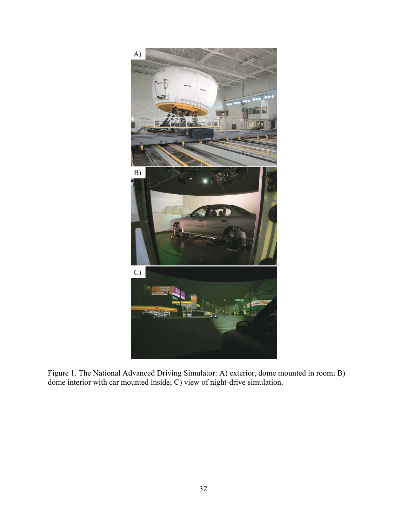

Figure 1. The National Advanced Driving Simulator: A) exterior, dome mounted in room; B) dome interior with car mounted inside; C) view of night-drive simulation.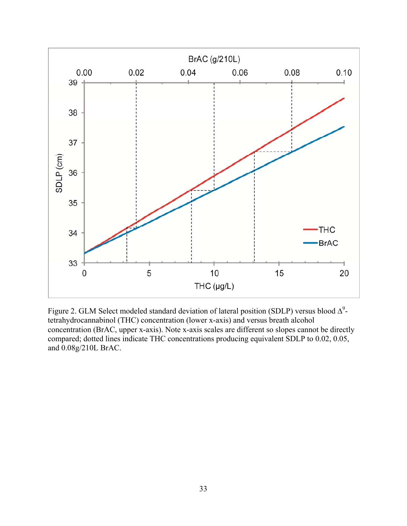

Figure 2. GLM Select modeled standard deviation of lateral position (SDLP) versus blood  $\Delta^9$ tetrahydrocannabinol (THC) concentration (lower x-axis) and versus breath alcohol concentration (BrAC, upper x-axis). Note x-axis scales are different so slopes cannot be directly compared; dotted lines indicate THC concentrations producing equivalent SDLP to 0.02, 0.05, and 0.08g/210L BrAC.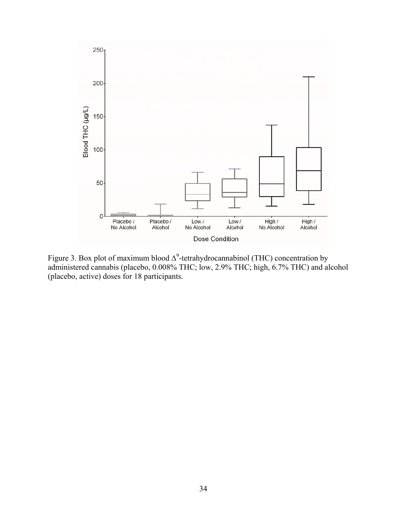

Figure 3. Box plot of maximum blood  $\Delta^9$ -tetrahydrocannabinol (THC) concentration by administered cannabis (placebo, 0.008% THC; low, 2.9% THC; high, 6.7% THC) and alcohol (placebo, active) doses for 18 participants.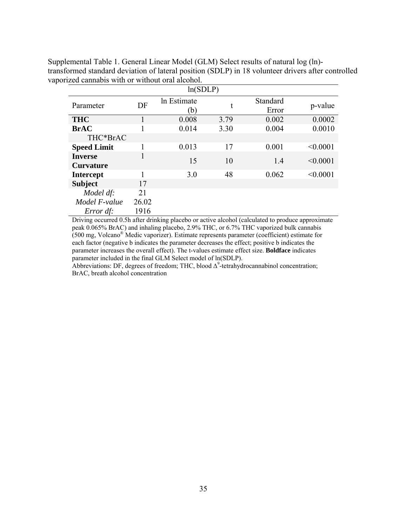| ln(SDLP)                           |                          |       |      |                   |          |  |
|------------------------------------|--------------------------|-------|------|-------------------|----------|--|
| Parameter                          | In Estimate<br>DF<br>(b) |       | t    | Standard<br>Error | p-value  |  |
| <b>THC</b>                         |                          | 0.008 | 3.79 | 0.002             | 0.0002   |  |
| <b>BrAC</b>                        |                          | 0.014 | 3.30 | 0.004             | 0.0010   |  |
| THC*BrAC                           |                          |       |      |                   |          |  |
| <b>Speed Limit</b>                 |                          | 0.013 | 17   | 0.001             | < 0.0001 |  |
| <b>Inverse</b><br><b>Curvature</b> | 1                        | 15    | 10   | 1.4               | < 0.0001 |  |
| <b>Intercept</b>                   |                          | 3.0   | 48   | 0.062             | < 0.0001 |  |
| <b>Subject</b>                     | 17                       |       |      |                   |          |  |
| Model df:                          | 21                       |       |      |                   |          |  |
| Model F-value                      | 26.02                    |       |      |                   |          |  |
| Error df:                          | 1916                     |       |      |                   |          |  |

Supplemental Table 1. General Linear Model (GLM) Select results of natural log (ln) transformed standard deviation of lateral position (SDLP) in 18 volunteer drivers after controlled vaporized cannabis with or without oral alcohol.

Driving occurred 0.5h after drinking placebo or active alcohol (calculated to produce approximate peak 0.065% BrAC) and inhaling placebo, 2.9% THC, or 6.7% THC vaporized bulk cannabis (500 mg, Volcano® Medic vaporizer). Estimate represents parameter (coefficient) estimate for each factor (negative b indicates the parameter decreases the effect; positive b indicates the parameter increases the overall effect). The t-values estimate effect size. **Boldface** indicates parameter included in the final GLM Select model of ln(SDLP).

Abbreviations: DF, degrees of freedom; THC, blood  $\Delta^9$ -tetrahydrocannabinol concentration; BrAC, breath alcohol concentration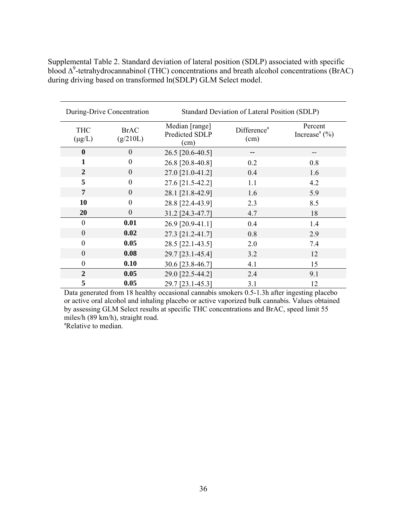|                           | During-Drive Concentration | Standard Deviation of Lateral Position (SDLP) |                                 |                                                   |  |  |
|---------------------------|----------------------------|-----------------------------------------------|---------------------------------|---------------------------------------------------|--|--|
| <b>THC</b><br>$(\mu g/L)$ | <b>BrAC</b><br>(g/210L)    | Median [range]<br>Predicted SDLP<br>(cm)      | Difference <sup>a</sup><br>(cm) | Percent<br>Increase <sup><math>a</math></sup> (%) |  |  |
| $\mathbf{0}$              | $\theta$                   | 26.5 [20.6-40.5]                              |                                 |                                                   |  |  |
| 1                         | $\boldsymbol{0}$           | 26.8 [20.8-40.8]                              | 0.2                             | 0.8                                               |  |  |
| $\overline{2}$            | $\boldsymbol{0}$           | 27.0 [21.0-41.2]                              | 0.4                             | 1.6                                               |  |  |
| 5                         | $\theta$                   | 27.6 [21.5-42.2]                              | 1.1                             | 4.2                                               |  |  |
| 7                         | $\theta$                   | 28.1 [21.8-42.9]                              | 1.6                             | 5.9                                               |  |  |
| 10                        | $\theta$                   | 28.8 [22.4-43.9]                              | 2.3                             | 8.5                                               |  |  |
| 20                        | $\boldsymbol{0}$           | 31.2 [24.3-47.7]                              | 4.7                             | 18                                                |  |  |
| $\mathbf{0}$              | 0.01                       | 26.9 [20.9-41.1]                              | 0.4                             | 1.4                                               |  |  |
| $\overline{0}$            | 0.02                       | 27.3 [21.2-41.7]                              | 0.8                             | 2.9                                               |  |  |
| $\theta$                  | 0.05                       | 28.5 [22.1-43.5]                              | 2.0                             | 7.4                                               |  |  |
| $\theta$                  | 0.08                       | 29.7 [23.1-45.4]                              | 3.2                             | 12                                                |  |  |
| $\theta$                  | 0.10                       | 30.6 [23.8-46.7]                              | 4.1                             | 15                                                |  |  |
| $\mathbf{2}$              | 0.05                       | 29.0 [22.5-44.2]                              | 2.4                             | 9.1                                               |  |  |
| 5                         | 0.05                       | 29.7 [23.1-45.3]                              | 3.1                             | 12                                                |  |  |

Supplemental Table 2. Standard deviation of lateral position (SDLP) associated with specific blood  $\Delta^9$ -tetrahydrocannabinol (THC) concentrations and breath alcohol concentrations (BrAC) during driving based on transformed ln(SDLP) GLM Select model.

Data generated from 18 healthy occasional cannabis smokers 0.5-1.3h after ingesting placebo or active oral alcohol and inhaling placebo or active vaporized bulk cannabis. Values obtained by assessing GLM Select results at specific THC concentrations and BrAC, speed limit 55 miles/h (89 km/h), straight road.

<sup>a</sup>Relative to median.